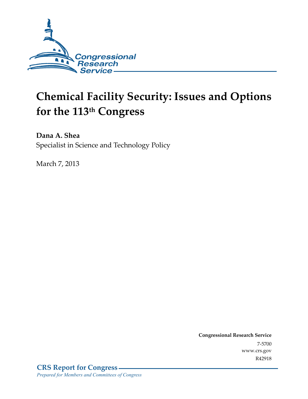

# **Chemical Facility Security: Issues and Options for the 113th Congress**

**Dana A. Shea**  Specialist in Science and Technology Policy

March 7, 2013

**Congressional Research Service**  7-5700 www.crs.gov R42918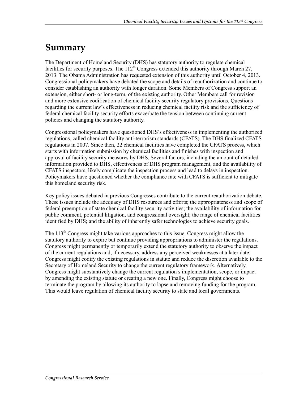## **Summary**

The Department of Homeland Security (DHS) has statutory authority to regulate chemical facilities for security purposes. The  $112<sup>th</sup>$  Congress extended this authority through March 27, 2013. The Obama Administration has requested extension of this authority until October 4, 2013. Congressional policymakers have debated the scope and details of reauthorization and continue to consider establishing an authority with longer duration. Some Members of Congress support an extension, either short- or long-term, of the existing authority. Other Members call for revision and more extensive codification of chemical facility security regulatory provisions. Questions regarding the current law's effectiveness in reducing chemical facility risk and the sufficiency of federal chemical facility security efforts exacerbate the tension between continuing current policies and changing the statutory authority.

Congressional policymakers have questioned DHS's effectiveness in implementing the authorized regulations, called chemical facility anti-terrorism standards (CFATS). The DHS finalized CFATS regulations in 2007. Since then, 22 chemical facilities have completed the CFATS process, which starts with information submission by chemical facilities and finishes with inspection and approval of facility security measures by DHS. Several factors, including the amount of detailed information provided to DHS, effectiveness of DHS program management, and the availability of CFATS inspectors, likely complicate the inspection process and lead to delays in inspection. Policymakers have questioned whether the compliance rate with CFATS is sufficient to mitigate this homeland security risk.

Key policy issues debated in previous Congresses contribute to the current reauthorization debate. These issues include the adequacy of DHS resources and efforts; the appropriateness and scope of federal preemption of state chemical facility security activities; the availability of information for public comment, potential litigation, and congressional oversight; the range of chemical facilities identified by DHS; and the ability of inherently safer technologies to achieve security goals.

The  $113<sup>th</sup>$  Congress might take various approaches to this issue. Congress might allow the statutory authority to expire but continue providing appropriations to administer the regulations. Congress might permanently or temporarily extend the statutory authority to observe the impact of the current regulations and, if necessary, address any perceived weaknesses at a later date. Congress might codify the existing regulations in statute and reduce the discretion available to the Secretary of Homeland Security to change the current regulatory framework. Alternatively, Congress might substantively change the current regulation's implementation, scope, or impact by amending the existing statute or creating a new one. Finally, Congress might choose to terminate the program by allowing its authority to lapse and removing funding for the program. This would leave regulation of chemical facility security to state and local governments.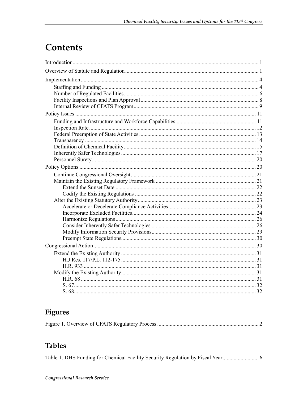# **Contents**

## **Figures**

|--|--|

## **Tables**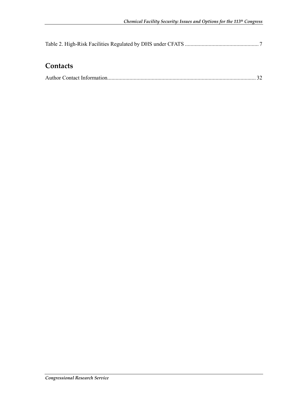## **Contacts**

|--|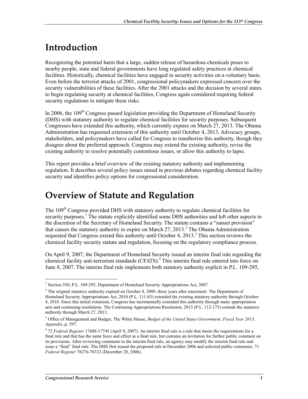# **Introduction**

Recognizing the potential harm that a large, sudden release of hazardous chemicals poses to nearby people, state and federal governments have long regulated safety practices at chemical facilities. Historically, chemical facilities have engaged in security activities on a voluntary basis. Even before the terrorist attacks of 2001, congressional policymakers expressed concern over the security vulnerabilities of these facilities. After the 2001 attacks and the decision by several states to begin regulating security at chemical facilities, Congress again considered requiring federal security regulations to mitigate these risks.

In 2006, the 109<sup>th</sup> Congress passed legislation providing the Department of Homeland Security (DHS) with statutory authority to regulate chemical facilities for security purposes. Subsequent Congresses have extended this authority, which currently expires on March 27, 2013. The Obama Administration has requested extension of this authority until October 4, 2013. Advocacy groups, stakeholders, and policymakers have called for Congress to reauthorize this authority, though they disagree about the preferred approach. Congress may extend the existing authority, revise the existing authority to resolve potentially contentious issues, or allow this authority to lapse.

This report provides a brief overview of the existing statutory authority and implementing regulation. It describes several policy issues raised in previous debates regarding chemical facility security and identifies policy options for congressional consideration.

## **Overview of Statute and Regulation**

The 109<sup>th</sup> Congress provided DHS with statutory authority to regulate chemical facilities for security purposes.<sup>1</sup> The statute explicitly identified some DHS authorities and left other aspects to the discretion of the Secretary of Homeland Security. The statute contains a "sunset provision" that causes the statutory authority to expire on March  $27$ ,  $2013$ <sup>2</sup>. The Obama Administration requested that Congress extend this authority until October 4, 2013.<sup>3</sup> This section reviews the chemical facility security statute and regulation, focusing on the regulatory compliance process.

On April 9, 2007, the Department of Homeland Security issued an interim final rule regarding the chemical facility anti-terrorism standards (CFATS).<sup>4</sup> This interim final rule entered into force on June 8, 2007. The interim final rule implements both statutory authority explicit in P.L. 109-295,

<sup>1&</sup>lt;br><sup>1</sup> Section 550, P.L. 109-295, Department of Homeland Security Appropriations Act, 2007.

 $2$  The original statutory authority expired on October 4, 2009, three years after enactment. The Department of Homeland Security Appropriations Act, 2010 (P.L. 111-83) extended the existing statutory authority through October 4, 2010. Since this initial extension, Congress has incrementally extended this authority through many appropriation acts and continuing resolutions. The Continuing Appropriations Resolution, 2013 (P.L. 112-175) extends the statutory authority through March 27, 2013.

<sup>3</sup> Office of Management and Budget, The White House, *Budget of the United States Government, Fiscal Year 2013, Appendix*, p. 597.

<sup>4</sup> 72 *Federal Register* 17688-17745 (April 9, 2007). An interim final rule is a rule that meets the requirements for a final rule and that has the same force and effect as a final rule, but contains an invitation for further public comment on its provisions. After reviewing comments to the interim final rule, an agency may modify the interim final rule and issue a "final" final rule. The DHS first issued the proposed rule in December 2006 and solicited public comments. 71 *Federal Register* 78276-78332 (December 28, 2006).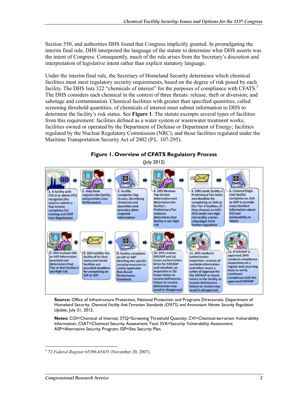Section 550, and authorities DHS found that Congress implicitly granted. In promulgating the interim final rule, DHS interpreted the language of the statute to determine what DHS asserts was the intent of Congress. Consequently, much of the rule arises from the Secretary's discretion and interpretation of legislative intent rather than explicit statutory language.

Under the interim final rule, the Secretary of Homeland Security determines which chemical facilities must meet regulatory security requirements, based on the degree of risk posed by each facility. The DHS lists 322 "chemicals of interest" for the purposes of compliance with CFATS.<sup>5</sup> The DHS considers each chemical in the context of three threats: release; theft or diversion; and sabotage and contamination. Chemical facilities with greater than specified quantities, called screening threshold quantities, of chemicals of interest must submit information to DHS to determine the facility's risk status. See **Figure 1**. The statute exempts several types of facilities from this requirement: facilities defined as a water system or wastewater treatment works; facilities owned or operated by the Department of Defense or Department of Energy; facilities regulated by the Nuclear Regulatory Commission (NRC); and those facilities regulated under the Maritime Transportation Security Act of 2002 (P.L. 107-295).



**Figure 1. Overview of CFATS Regulatory Process** 

**Notes:** COI=Chemical of Interest; STQ=Screening Threshold Quantity; CVI=Chemical-terrorism Vulnerability Information; CSAT=Chemical Security Assessment Tool; SVA=Security Vulnerability Assessment; ASP=Alternative Security Program; SSP=Site Security Plan.

**Source:** Office of Infrastructure Protection, National Protection and Programs Directorate, Department of Homeland Security, *Chemical Facility Anti-Terrorism Standards (CFATS) and Ammonium Nitrate Security Regulation Update*, July 31, 2012.

<sup>&</sup>lt;u>.</u> 5 72 *Federal Register* 65396-65435 (November 20, 2007).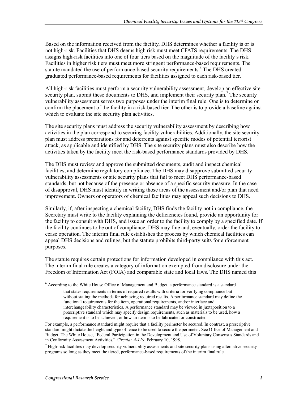Based on the information received from the facility, DHS determines whether a facility is or is not high-risk. Facilities that DHS deems high risk must meet CFATS requirements. The DHS assigns high-risk facilities into one of four tiers based on the magnitude of the facility's risk. Facilities in higher risk tiers must meet more stringent performance-based requirements. The statute mandated the use of performance-based security requirements.<sup>6</sup> The DHS created graduated performance-based requirements for facilities assigned to each risk-based tier.

All high-risk facilities must perform a security vulnerability assessment, develop an effective site security plan, submit these documents to DHS, and implement their security plan.<sup>7</sup> The security vulnerability assessment serves two purposes under the interim final rule. One is to determine or confirm the placement of the facility in a risk-based tier. The other is to provide a baseline against which to evaluate the site security plan activities.

The site security plans must address the security vulnerability assessment by describing how activities in the plan correspond to securing facility vulnerabilities. Additionally, the site security plan must address preparations for and deterrents against specific modes of potential terrorist attack, as applicable and identified by DHS. The site security plans must also describe how the activities taken by the facility meet the risk-based performance standards provided by DHS.

The DHS must review and approve the submitted documents, audit and inspect chemical facilities, and determine regulatory compliance. The DHS may disapprove submitted security vulnerability assessments or site security plans that fail to meet DHS performance-based standards, but not because of the presence or absence of a specific security measure. In the case of disapproval, DHS must identify in writing those areas of the assessment and/or plan that need improvement. Owners or operators of chemical facilities may appeal such decisions to DHS.

Similarly, if, after inspecting a chemical facility, DHS finds the facility not in compliance, the Secretary must write to the facility explaining the deficiencies found, provide an opportunity for the facility to consult with DHS, and issue an order to the facility to comply by a specified date. If the facility continues to be out of compliance, DHS may fine and, eventually, order the facility to cease operation. The interim final rule establishes the process by which chemical facilities can appeal DHS decisions and rulings, but the statute prohibits third-party suits for enforcement purposes.

The statute requires certain protections for information developed in compliance with this act. The interim final rule creates a category of information exempted from disclosure under the Freedom of Information Act (FOIA) and comparable state and local laws. The DHS named this

<u>.</u>

<sup>6</sup> According to the White House Office of Management and Budget, a performance standard is a standard

that states requirements in terms of required results with criteria for verifying compliance but without stating the methods for achieving required results. A performance standard may define the functional requirements for the item, operational requirements, and/or interface and interchangeability characteristics. A performance standard may be viewed in juxtaposition to a prescriptive standard which may specify design requirements, such as materials to be used, how a requirement is to be achieved, or how an item is to be fabricated or constructed.

For example, a performance standard might require that a facility perimeter be secured. In contrast, a prescriptive standard might dictate the height and type of fence to be used to secure the perimeter. See Office of Management and Budget, The White House, "Federal Participation in the Development and Use of Voluntary Consensus Standards and in Conformity Assessment Activities," *Circular A-119*, February 10, 1998.

 $<sup>7</sup>$  High-risk facilities may develop security vulnerability assessments and site security plans using alternative security</sup> programs so long as they meet the tiered, performance-based requirements of the interim final rule.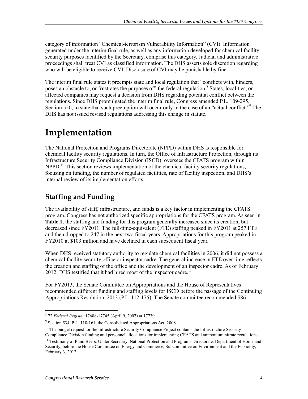category of information "Chemical-terrorism Vulnerability Information" (CVI). Information generated under the interim final rule, as well as any information developed for chemical facility security purposes identified by the Secretary, comprise this category. Judicial and administrative proceedings shall treat CVI as classified information. The DHS asserts sole discretion regarding who will be eligible to receive CVI. Disclosure of CVI may be punishable by fine.

The interim final rule states it preempts state and local regulation that "conflicts with, hinders, poses an obstacle to, or frustrates the purposes of" the federal regulation.<sup>8</sup> States, localities, or affected companies may request a decision from DHS regarding potential conflict between the regulations. Since DHS promulgated the interim final rule, Congress amended P.L. 109-295, Section 550, to state that such preemption will occur only in the case of an "actual conflict."<sup>9</sup> The DHS has not issued revised regulations addressing this change in statute.

## **Implementation**

The National Protection and Programs Directorate (NPPD) within DHS is responsible for chemical facility security regulations. In turn, the Office of Infrastructure Protection, through its Infrastructure Security Compliance Division (ISCD), oversees the CFATS program within NPPD.<sup>10</sup> This section reviews implementation of the chemical facility security regulations, focusing on funding, the number of regulated facilities, rate of facility inspection, and DHS's internal review of its implementation efforts.

## **Staffing and Funding**

The availability of staff, infrastructure, and funds is a key factor in implementing the CFATS program. Congress has not authorized specific appropriations for the CFATS program. As seen in **Table 1**, the staffing and funding for this program generally increased since its creation, but decreased since FY2011. The full-time-equivalent (FTE) staffing peaked in FY2011 at 257 FTE and then dropped to 247 in the next two fiscal years. Appropriations for this program peaked in FY2010 at \$103 million and have declined in each subsequent fiscal year.

When DHS received statutory authority to regulate chemical facilities in 2006, it did not possess a chemical facility security office or inspector cadre. The general increase in FTE over time reflects the creation and staffing of the office and the development of an inspector cadre. As of February 2012, DHS testified that it had hired most of the inspector cadre.<sup>11</sup>

For FY2013, the Senate Committee on Appropriations and the House of Representatives recommended different funding and staffing levels for ISCD before the passage of the Continuing Appropriations Resolution, 2013 (P.L. 112-175). The Senate committee recommended \$86

 8 72 *Federal Register* 17688-17745 (April 9, 2007) at 17739.

<sup>&</sup>lt;sup>9</sup> Section 534, P.L. 110-161, the Consolidated Appropriations Act, 2008.

 $10$  The budget request for the Infrastructure Security Compliance Project contains the Infrastructure Security Compliance Division funding and personnel allocations for implementing CFATS and ammonium nitrate regulations.

<sup>&</sup>lt;sup>11</sup> Testimony of Rand Beers, Under Secretary, National Protection and Programs Directorate, Department of Homeland Security, before the House Committee on Energy and Commerce, Subcommittee on Environment and the Economy, February 3, 2012.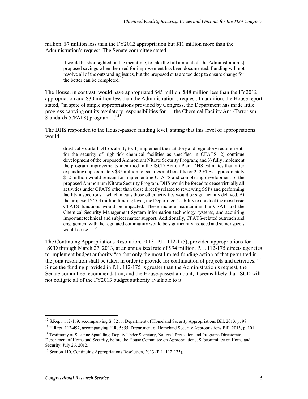million, \$7 million less than the FY2012 appropriation but \$11 million more than the Administration's request. The Senate committee stated,

it would be shortsighted, in the meantime, to take the full amount of [the Administration's] proposed savings when the need for improvement has been documented. Funding will not resolve all of the outstanding issues, but the proposed cuts are too deep to ensure change for the better can be completed.

The House, in contrast, would have appropriated \$45 million, \$48 million less than the FY2012 appropriation and \$30 million less than the Administration's request. In addition, the House report stated, "in spite of ample appropriations provided by Congress, the Department has made little progress carrying out its regulatory responsibilities for … the Chemical Facility Anti-Terrorism Standards (CFATS) program...."<sup>13</sup>

The DHS responded to the House-passed funding level, stating that this level of appropriations would

drastically curtail DHS's ability to: 1) implement the statutory and regulatory requirements for the security of high-risk chemical facilities as specified in CFATS; 2) continue development of the proposed Ammonium Nitrate Security Program; and 3) fully implement the program improvements identified in the ISCD Action Plan. DHS estimates that, after expending approximately \$35 million for salaries and benefits for 242 FTEs, approximately \$12 million would remain for implementing CFATS and completing development of the proposed Ammonium Nitrate Security Program. DHS would be forced to cease virtually all activities under CFATS other than those directly related to reviewing SSPs and performing facility inspections—which means those other activities would be significantly delayed. At the proposed \$45.4 million funding level, the Department's ability to conduct the most basic CFATS functions would be impacted. These include maintaining the CSAT and the Chemical-Security Management System information technology systems, and acquiring important technical and subject matter support. Additionally, CFATS-related outreach and engagement with the regulated community would be significantly reduced and some aspects would cease....<sup>14</sup>

The Continuing Appropriations Resolution, 2013 (P.L. 112-175), provided appropriations for ISCD through March 27, 2013, at an annualized rate of \$94 million. P.L. 112-175 directs agencies to implement budget authority "so that only the most limited funding action of that permitted in the joint resolution shall be taken in order to provide for continuation of projects and activities."15 Since the funding provided in P.L. 112-175 is greater than the Administration's request, the Senate committee recommendation, and the House-passed amount, it seems likely that ISCD will not obligate all of the FY2013 budget authority available to it.

<sup>&</sup>lt;sup>12</sup> S.Rept. 112-169, accompanying S. 3216, Department of Homeland Security Appropriations Bill, 2013, p. 98.

<sup>&</sup>lt;sup>13</sup> H.Rept. 112-492, accompanying H.R. 5855, Department of Homeland Security Appropriations Bill, 2013, p. 101.

<sup>&</sup>lt;sup>14</sup> Testimony of Suzanne Spaulding, Deputy Under Secretary, National Protection and Programs Directorate, Department of Homeland Security, before the House Committee on Appropriations, Subcommittee on Homeland Security, July 26, 2012.

<sup>&</sup>lt;sup>15</sup> Section 110, Continuing Appropriations Resolution, 2013 (P.L. 112-175).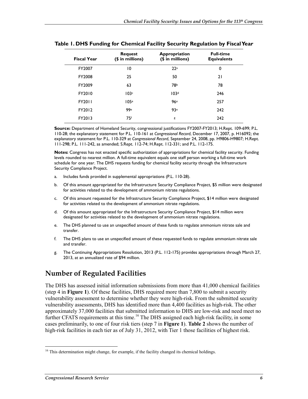| <b>Fiscal Year</b> | Request<br>$($$ in millions) | Appropriation<br>(\$ in millions) | <b>Full-time</b><br><b>Equivalents</b> |
|--------------------|------------------------------|-----------------------------------|----------------------------------------|
| FY2007             | 10                           | 22 <sup>a</sup>                   | 0                                      |
| FY2008             | 25                           | 50                                | 21                                     |
| FY2009             | 63                           | 78b                               | 78                                     |
| FY2010             | 103c                         | 103 <sup>d</sup>                  | 246                                    |
| FY2011             | 105 <sup>e</sup>             | 96 <sup>e</sup>                   | 257                                    |
| FY2012             | 99e                          | 93e                               | 242                                    |
| FY2013             | 75 <sup>f</sup>              | g                                 | 242                                    |

|  |  |  |  |  |  |  | Table 1. DHS Funding for Chemical Facility Security Regulation by Fiscal Year |
|--|--|--|--|--|--|--|-------------------------------------------------------------------------------|
|--|--|--|--|--|--|--|-------------------------------------------------------------------------------|

**Source:** Department of Homeland Security, congressional justifications FY2007-FY2013; H.Rept. 109-699; P.L. 110-28; the explanatory statement for P.L. 110-161 at *Congressional Record*, December 17, 2007, p. H16092; the explanatory statement for P.L. 110-329 at *Congressional Record*, September 24, 2008, pp. H9806-H9807; H.Rept. 111-298; P.L. 111-242, as amended; S.Rept. 112-74; H.Rept. 112-331; and P.L. 112-175.

**Notes:** Congress has not enacted specific authorization of appropriations for chemical facility security. Funding levels rounded to nearest million. A full-time equivalent equals one staff person working a full-time work schedule for one year. The DHS requests funding for chemical facility security through the Infrastructure Security Compliance Project.

- a. Includes funds provided in supplemental appropriations (P.L. 110-28).
- b. Of this amount appropriated for the Infrastructure Security Compliance Project, \$5 million were designated for activities related to the development of ammonium nitrate regulations.
- c. Of this amount requested for the Infrastructure Security Compliance Project, \$14 million were designated for activities related to the development of ammonium nitrate regulations.
- d. Of this amount appropriated for the Infrastructure Security Compliance Project, \$14 million were designated for activities related to the development of ammonium nitrate regulations.
- e. The DHS planned to use an unspecified amount of these funds to regulate ammonium nitrate sale and transfer.
- f. The DHS plans to use an unspecified amount of these requested funds to regulate ammonium nitrate sale and transfer.
- g. The Continuing Appropriations Resolution, 2013 (P.L. 112-175) provides appropriations through March 27, 2013, at an annualized rate of \$94 million.

## **Number of Regulated Facilities**

The DHS has assessed initial information submissions from more than 41,000 chemical facilities (step 4 in **Figure 1**). Of these facilities, DHS required more than 7,800 to submit a security vulnerability assessment to determine whether they were high-risk. From the submitted security vulnerability assessments, DHS has identified more than 4,400 facilities as high-risk. The other approximately 37,000 facilities that submitted information to DHS are low-risk and need meet no further CFATS requirements at this time.<sup>16</sup> The DHS assigned each high-risk facility, in some cases preliminarily, to one of four risk tiers (step 7 in **Figure 1**). **Table 2** shows the number of high-risk facilities in each tier as of July 31, 2012, with Tier 1 those facilities of highest risk.

<sup>&</sup>lt;u>.</u>  $16$  This determination might change, for example, if the facility changed its chemical holdings.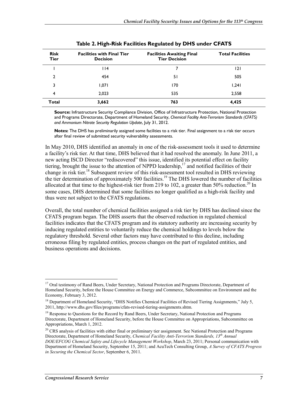| <b>Risk</b><br>Tier | <b>Facilities with Final Tier</b><br><b>Decision</b> | <b>Facilities Awaiting Final</b><br><b>Tier Decision</b> | <b>Total Facilities</b> |
|---------------------|------------------------------------------------------|----------------------------------------------------------|-------------------------|
|                     | 14                                                   |                                                          | 121                     |
| 2                   | 454                                                  | 51                                                       | 505                     |
| 3                   | 1,071                                                | 170                                                      | 1,241                   |
| 4                   | 2,023                                                | 535                                                      | 2,558                   |
| Total               | 3,662                                                | 763                                                      | 4,425                   |

**Source:** Infrastructure Security Compliance Division, Office of Infrastructure Protection, National Protection and Programs Directorate, Department of Homeland Security, *Chemical Facility Anti-Terrorism Standards (CFATS) and Ammonium Nitrate Security Regulation Update*, July 31, 2012.

**Notes:** The DHS has preliminarily assigned some facilities to a risk tier. Final assignment to a risk tier occurs after final review of submitted security vulnerability assessments.

In May 2010, DHS identified an anomaly in one of the risk-assessment tools it used to determine a facility's risk tier. At that time, DHS believed that it had resolved the anomaly. In June 2011, a new acting ISCD Director "rediscovered" this issue, identified its potential effect on facility tiering, brought the issue to the attention of NPPD leadership,<sup>17</sup> and notified facilities of their change in risk tier.<sup>18</sup> Subsequent review of this risk-assessment tool resulted in DHS reviewing the tier determination of approximately 500 facilities.<sup>19</sup> The DHS lowered the number of facilities allocated at that time to the highest-risk tier from 219 to 102, a greater than 50% reduction.<sup>20</sup> In some cases, DHS determined that some facilities no longer qualified as a high-risk facility and thus were not subject to the CFATS regulations.

Overall, the total number of chemical facilities assigned a risk tier by DHS has declined since the CFATS program began. The DHS asserts that the observed reduction in regulated chemical facilities indicates that the CFATS program and its statutory authority are increasing security by inducing regulated entities to voluntarily reduce the chemical holdings to levels below the regulatory threshold. Several other factors may have contributed to this decline, including erroneous filing by regulated entities, process changes on the part of regulated entities, and business operations and decisions.

<u>.</u>

<sup>&</sup>lt;sup>17</sup> Oral testimony of Rand Beers, Under Secretary, National Protection and Programs Directorate, Department of Homeland Security, before the House Committee on Energy and Commerce, Subcommittee on Environment and the Economy, February 3, 2012.

<sup>&</sup>lt;sup>18</sup> Department of Homeland Security, "DHS Notifies Chemical Facilities of Revised Tiering Assignments," July 5, 2011, http://www.dhs.gov/files/programs/cfats-revised-tiering-assignments.shtm.

<sup>&</sup>lt;sup>19</sup> Response to Questions for the Record by Rand Beers, Under Secretary, National Protection and Programs Directorate, Department of Homeland Security, before the House Committee on Appropriations, Subcommittee on Appropriations, March 1, 2012.

 $20$  CRS analysis of facilities with either final or preliminary tier assignment. See National Protection and Programs Directorate, Department of Homeland Security, *Chemical Facility Anti-Terrorism Standards, 13th Annual DOE/EFCOG Chemical Safety and Lifecycle Management Workshop*, March 23, 2011; Personal communication with Department of Homeland Security, September 15, 2011; and AcuTech Consulting Group, *A Survey of CFATS Progress in Securing the Chemical Sector*, September 6, 2011.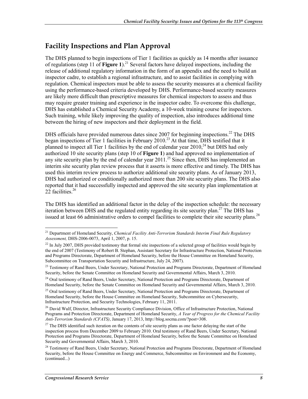## **Facility Inspections and Plan Approval**

The DHS planned to begin inspections of Tier 1 facilities as quickly as 14 months after issuance of regulations (step 11 of **Figure 1**).<sup>21</sup> Several factors have delayed inspections, including the release of additional regulatory information in the form of an appendix and the need to build an inspector cadre, to establish a regional infrastructure, and to assist facilities in complying with regulation. Chemical inspectors must be able to assess the security measures at a chemical facility using the performance-based criteria developed by DHS. Performance-based security measures are likely more difficult than prescriptive measures for chemical inspectors to assess and thus may require greater training and experience in the inspector cadre. To overcome this challenge, DHS has established a Chemical Security Academy, a 10-week training course for inspectors. Such training, while likely improving the quality of inspection, also introduces additional time between the hiring of new inspectors and their deployment in the field.

DHS officials have provided numerous dates since 2007 for beginning inspections.<sup>22</sup> The DHS began inspections of Tier 1 facilities in February 2010.<sup>23</sup> At that time, DHS testified that it planned to inspect all Tier 1 facilities by the end of calendar year  $2010<sup>24</sup>$  but DHS had only authorized 10 site security plans (step 10 of **Figure 1**) and had approved no implementation of any site security plan by the end of calendar year  $2011$ <sup>25</sup> Since then, DHS has implemented an interim site security plan review process that it asserts is more effective and timely. The DHS has used this interim review process to authorize additional site security plans. As of January 2013, DHS had authorized or conditionally authorized more than 200 site security plans. The DHS also reported that it had successfully inspected and approved the site security plan implementation at 22 facilities.<sup>26</sup>

The DHS has identified an additional factor in the delay of the inspection schedule: the necessary iteration between DHS and the regulated entity regarding its site security plan.<sup>27</sup> The DHS has issued at least 66 administrative orders to compel facilities to complete their site security plans.<sup>28</sup>

<sup>1</sup> 21 Department of Homeland Security, *Chemical Facility Anti-Terrorism Standards Interim Final Rule Regulatory Assessment,* DHS-2006-0073, April 1, 2007, p. 15.

<sup>&</sup>lt;sup>22</sup> In July 2007, DHS provided testimony that formal site inspections of a selected group of facilities would begin by the end of 2007 (Testimony of Robert B. Stephan, Assistant Secretary for Infrastructure Protection, National Protection and Programs Directorate, Department of Homeland Security, before the House Committee on Homeland Security, Subcommittee on Transportation Security and Infrastructure, July 24, 2007).

<sup>&</sup>lt;sup>23</sup> Testimony of Rand Beers, Under Secretary, National Protection and Programs Directorate, Department of Homeland Security, before the Senate Committee on Homeland Security and Governmental Affairs, March 3, 2010.

<sup>&</sup>lt;sup>24</sup> Oral testimony of Rand Beers, Under Secretary, National Protection and Programs Directorate, Department of Homeland Security, before the Senate Committee on Homeland Security and Governmental Affairs, March 3, 2010.

<sup>&</sup>lt;sup>25</sup> Oral testimony of Rand Beers, Under Secretary, National Protection and Programs Directorate, Department of Homeland Security, before the House Committee on Homeland Security, Subcommittee on Cybersecurity, Infrastructure Protection, and Security Technologies, February 11, 2011.

<sup>&</sup>lt;sup>26</sup> David Wulf, Director, Infrastructure Security Compliance Division, Office of Infrastructure Protection, National Programs and Protection Directorate, Department of Homeland Security, *A Year of Progress for the Chemical Facility Anti-Terrorism Standards (CFATS)*, January 17, 2013, http://blog.socma.com/?post=308.

<sup>&</sup>lt;sup>27</sup> The DHS identified such iteration on the contents of site security plans as one factor delaying the start of the inspection process from December 2009 to February 2010. Oral testimony of Rand Beers, Under Secretary, National Protection and Programs Directorate, Department of Homeland Security, before the Senate Committee on Homeland Security and Governmental Affairs, March 3, 2010.

<sup>&</sup>lt;sup>28</sup> Testimony of Rand Beers, Under Secretary, National Protection and Programs Directorate, Department of Homeland Security, before the House Committee on Energy and Commerce, Subcommittee on Environment and the Economy, (continued...)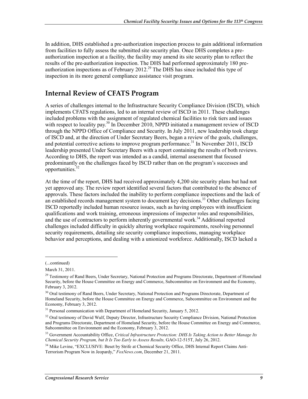In addition, DHS established a pre-authorization inspection process to gain additional information from facilities to fully assess the submitted site security plan. Once DHS completes a preauthorization inspection at a facility, the facility may amend its site security plan to reflect the results of the pre-authorization inspection. The DHS had performed approximately 180 preauthorization inspections as of February 2012.<sup>29</sup> The DHS has since included this type of inspection in its more general compliance assistance visit program.

#### **Internal Review of CFATS Program**

A series of challenges internal to the Infrastructure Security Compliance Division (ISCD), which implements CFATS regulations, led to an internal review of ISCD in 2011. These challenges included problems with the assignment of regulated chemical facilities to risk tiers and issues with respect to locality pay.<sup>30</sup> In December 2010, NPPD initiated a management review of ISCD through the NPPD Office of Compliance and Security. In July 2011, new leadership took charge of ISCD and, at the direction of Under Secretary Beers, began a review of the goals, challenges, and potential corrective actions to improve program performance.<sup>31</sup> In November 2011, ISCD leadership presented Under Secretary Beers with a report containing the results of both reviews. According to DHS, the report was intended as a candid, internal assessment that focused predominantly on the challenges faced by ISCD rather than on the program's successes and opportunities.<sup>32</sup>

At the time of the report, DHS had received approximately 4,200 site security plans but had not yet approved any. The review report identified several factors that contributed to the absence of approvals. These factors included the inability to perform compliance inspections and the lack of an established records management system to document key decisions.<sup>33</sup> Other challenges facing ISCD reportedly included human resource issues, such as having employees with insufficient qualifications and work training, erroneous impressions of inspector roles and responsibilities, and the use of contractors to perform inherently governmental work.<sup>34</sup> Additional reported challenges included difficulty in quickly altering workplace requirements, resolving personnel security requirements, detailing site security compliance inspections, managing workplace behavior and perceptions, and dealing with a unionized workforce. Additionally, ISCD lacked a

 $\overline{a}$ 

<sup>(...</sup>continued)

March 31, 2011.

<sup>&</sup>lt;sup>29</sup> Testimony of Rand Beers, Under Secretary, National Protection and Programs Directorate, Department of Homeland Security, before the House Committee on Energy and Commerce, Subcommittee on Environment and the Economy, February 3, 2012.

<sup>&</sup>lt;sup>30</sup> Oral testimony of Rand Beers, Under Secretary, National Protection and Programs Directorate, Department of Homeland Security, before the House Committee on Energy and Commerce, Subcommittee on Environment and the Economy, February 3, 2012.

<sup>&</sup>lt;sup>31</sup> Personal communication with Department of Homeland Security, January 5, 2012.

<sup>&</sup>lt;sup>32</sup> Oral testimony of David Wulf, Deputy Director, Infrastructure Security Compliance Division, National Protection and Programs Directorate, Department of Homeland Security, before the House Committee on Energy and Commerce, Subcommittee on Environment and the Economy, February 3, 2012.

<sup>33</sup> Government Accountability Office, *Critical Infrastructure Protection: DHS Is Taking Action to Better Manage Its Chemical Security Program, but It Is Too Early to Assess Results,* GAO-12-515T, July 26, 2012.

<sup>&</sup>lt;sup>34</sup> Mike Levine, "EXCLUSIVE: Beset by Strife at Chemical Security Office, DHS Internal Report Claims Anti-Terrorism Program Now in Jeopardy," *FoxNews.com*, December 21, 2011.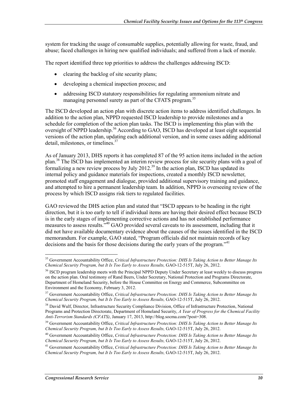system for tracking the usage of consumable supplies, potentially allowing for waste, fraud, and abuse; faced challenges in hiring new qualified individuals; and suffered from a lack of morale.

The report identified three top priorities to address the challenges addressing ISCD:

- clearing the backlog of site security plans;
- developing a chemical inspection process; and
- addressing ISCD statutory responsibilities for regulating ammonium nitrate and managing personnel surety as part of the CFATS program.<sup>35</sup>

The ISCD developed an action plan with discrete action items to address identified challenges. In addition to the action plan, NPPD requested ISCD leadership to provide milestones and a schedule for completion of the action plan tasks. The ISCD is implementing this plan with the oversight of NPPD leadership.<sup>36</sup> According to GAO, ISCD has developed at least eight sequential versions of the action plan, updating each additional version, and in some cases adding additional detail, milestones, or timelines.<sup>37</sup>

As of January 2013, DHS reports it has completed 87 of the 95 action items included in the action plan.<sup>38</sup> The ISCD has implemented an interim review process for site security plans with a goal of formalizing a new review process by July 2012.<sup>39</sup> In the action plan, ISCD has updated its internal policy and guidance materials for inspections, created a monthly ISCD newsletter, promoted staff engagement and dialogue, provided additional supervisory training and guidance, and attempted to hire a permanent leadership team. In addition, NPPD is overseeing review of the process by which ISCD assigns risk tiers to regulated facilities.

GAO reviewed the DHS action plan and stated that "ISCD appears to be heading in the right direction, but it is too early to tell if individual items are having their desired effect because ISCD is in the early stages of implementing corrective actions and has not established performance measures to assess results."40 GAO provided several caveats to its assessment, including that it did not have available documentary evidence about the causes of the issues identified in the ISCD memorandum. For example, GAO stated, "Program officials did not maintain records of key decisions and the basis for those decisions during the early years of the program."<sup>41</sup>

<sup>&</sup>lt;u>.</u> 35 Government Accountability Office, *Critical Infrastructure Protection: DHS Is Taking Action to Better Manage Its Chemical Security Program, but It Is Too Early to Assess Results,* GAO-12-515T, July 26, 2012.

<sup>&</sup>lt;sup>36</sup> ISCD program leadership meets with the Principal NPPD Deputy Under Secretary at least weekly to discuss progress on the action plan. Oral testimony of Rand Beers, Under Secretary, National Protection and Programs Directorate, Department of Homeland Security, before the House Committee on Energy and Commerce, Subcommittee on Environment and the Economy, February 3, 2012.

<sup>37</sup> Government Accountability Office, *Critical Infrastructure Protection: DHS Is Taking Action to Better Manage Its Chemical Security Program, but It Is Too Early to Assess Results,* GAO-12-515T, July 26, 2012.

<sup>&</sup>lt;sup>38</sup> David Wulf, Director, Infrastructure Security Compliance Division, Office of Infrastructure Protection, National Programs and Protection Directorate, Department of Homeland Security, *A Year of Progress for the Chemical Facility Anti-Terrorism Standards (CFATS)*, January 17, 2013, http://blog.socma.com/?post=308.

<sup>39</sup> Government Accountability Office, *Critical Infrastructure Protection: DHS Is Taking Action to Better Manage Its Chemical Security Program, but It Is Too Early to Assess Results,* GAO-12-515T, July 26, 2012.

<sup>40</sup> Government Accountability Office, *Critical Infrastructure Protection: DHS Is Taking Action to Better Manage Its Chemical Security Program, but It Is Too Early to Assess Results,* GAO-12-515T, July 26, 2012.

<sup>41</sup> Government Accountability Office, *Critical Infrastructure Protection: DHS Is Taking Action to Better Manage Its Chemical Security Program, but It Is Too Early to Assess Results,* GAO-12-515T, July 26, 2012.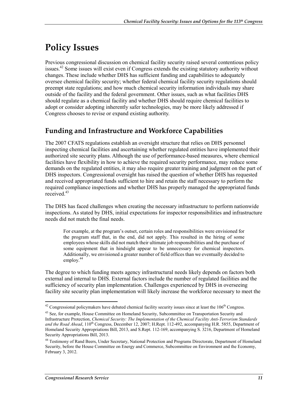# **Policy Issues**

Previous congressional discussion on chemical facility security raised several contentious policy issues.<sup>42</sup> Some issues will exist even if Congress extends the existing statutory authority without changes. These include whether DHS has sufficient funding and capabilities to adequately oversee chemical facility security; whether federal chemical facility security regulations should preempt state regulations; and how much chemical security information individuals may share outside of the facility and the federal government. Other issues, such as what facilities DHS should regulate as a chemical facility and whether DHS should require chemical facilities to adopt or consider adopting inherently safer technologies, may be more likely addressed if Congress chooses to revise or expand existing authority.

## **Funding and Infrastructure and Workforce Capabilities**

The 2007 CFATS regulations establish an oversight structure that relies on DHS personnel inspecting chemical facilities and ascertaining whether regulated entities have implemented their authorized site security plans. Although the use of performance-based measures, where chemical facilities have flexibility in how to achieve the required security performance, may reduce some demands on the regulated entities, it may also require greater training and judgment on the part of DHS inspectors. Congressional oversight has raised the question of whether DHS has requested and received appropriated funds sufficient to hire and retain the staff necessary to perform the required compliance inspections and whether DHS has properly managed the appropriated funds received.<sup>43</sup>

The DHS has faced challenges when creating the necessary infrastructure to perform nationwide inspections. As stated by DHS, initial expectations for inspector responsibilities and infrastructure needs did not match the final needs.

For example, at the program's outset, certain roles and responsibilities were envisioned for the program staff that, in the end, did not apply. This resulted in the hiring of some employees whose skills did not match their ultimate job responsibilities and the purchase of some equipment that in hindsight appear to be unnecessary for chemical inspectors. Additionally, we envisioned a greater number of field offices than we eventually decided to employ. $44$ 

The degree to which funding meets agency infrastructural needs likely depends on factors both external and internal to DHS. External factors include the number of regulated facilities and the sufficiency of security plan implementation. Challenges experienced by DHS in overseeing facility site security plan implementation will likely increase the workforce necessary to meet the

 $42$  Congressional policymakers have debated chemical facility security issues since at least the  $106<sup>th</sup>$  Congress.

<sup>&</sup>lt;sup>43</sup> See, for example, House Committee on Homeland Security, Subcommittee on Transportation Security and Infrastructure Protection, *Chemical Security: The Implementation of the Chemical Facility Anti-Terrorism Standards*  and the Road Ahead, 110<sup>th</sup> Congress, December 12, 2007; H.Rept. 112-492, accompanying H.R. 5855, Department of Homeland Security Appropriations Bill, 2013, and S.Rept. 112-169, accompanying S. 3216, Department of Homeland Security Appropriations Bill, 2013.

<sup>44</sup> Testimony of Rand Beers, Under Secretary, National Protection and Programs Directorate, Department of Homeland Security, before the House Committee on Energy and Commerce, Subcommittee on Environment and the Economy, February 3, 2012.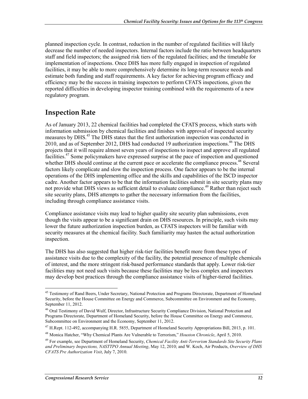planned inspection cycle. In contrast, reduction in the number of regulated facilities will likely decrease the number of needed inspectors. Internal factors include the ratio between headquarters staff and field inspectors; the assigned risk tiers of the regulated facilities; and the timetable for implementation of inspections. Once DHS has more fully engaged in inspection of regulated facilities, it may be able to more comprehensively determine its long-term resource needs and estimate both funding and staff requirements. A key factor for achieving program efficacy and efficiency may be the success in training inspectors to perform CFATS inspections, given the reported difficulties in developing inspector training combined with the requirements of a new regulatory program.

#### **Inspection Rate**

As of January 2013, 22 chemical facilities had completed the CFATS process, which starts with information submission by chemical facilities and finishes with approval of inspected security measures by DHS.<sup>45</sup> The DHS states that the first authorization inspection was conducted in 2010, and as of September 2012, DHS had conducted 19 authorization inspections.<sup>46</sup> The DHS projects that it will require almost seven years of inspections to inspect and approve all regulated facilities.<sup>47</sup> Some policymakers have expressed surprise at the pace of inspection and questioned whether DHS should continue at the current pace or accelerate the compliance process.<sup>48</sup> Several factors likely complicate and slow the inspection process. One factor appears to be the internal operations of the DHS implementing office and the skills and capabilities of the ISCD inspector cadre. Another factor appears to be that the information facilities submit in site security plans may not provide what DHS views as sufficient detail to evaluate compliance.<sup>49</sup> Rather than reject such site security plans, DHS attempts to gather the necessary information from the facilities, including through compliance assistance visits.

Compliance assistance visits may lead to higher quality site security plan submissions, even though the visits appear to be a significant drain on DHS resources. In principle, such visits may lower the future authorization inspection burden, as CFATS inspectors will be familiar with security measures at the chemical facility. Such familiarity may hasten the actual authorization inspection.

The DHS has also suggested that higher risk-tier facilities benefit more from these types of assistance visits due to the complexity of the facility, the potential presence of multiple chemicals of interest, and the more stringent risk-based performance standards that apply. Lower risk-tier facilities may not need such visits because these facilities may be less complex and inspectors may develop best practices through the compliance assistance visits of higher-tiered facilities.

<u>.</u>

<sup>&</sup>lt;sup>45</sup> Testimony of Rand Beers, Under Secretary, National Protection and Programs Directorate, Department of Homeland Security, before the House Committee on Energy and Commerce, Subcommittee on Environment and the Economy, September 11, 2012.

<sup>46</sup> Oral Testimony of David Wulf, Director, Infrastructure Security Compliance Division, National Protection and Programs Directorate, Department of Homeland Security, before the House Committee on Energy and Commerce, Subcommittee on Environment and the Economy, September 11, 2012.

<sup>47</sup> H.Rept. 112-492, accompanying H.R. 5855, Department of Homeland Security Appropriations Bill, 2013, p. 101.

<sup>48</sup> Monica Hatcher, "Why Chemical Plants Are Vulnerable to Terrorism," *Houston Chronicle*, April 5, 2010.

<sup>49</sup> For example, see Department of Homeland Security, *Chemical Facility Anti-Terrorism Standards Site Security Plans and Preliminary Inspections, NASTTPO Annual Meeting*, May 12, 2010; and W. Koch, Air Products, *Overview of DHS CFATS Pre Authorization Visit*, July 7, 2010.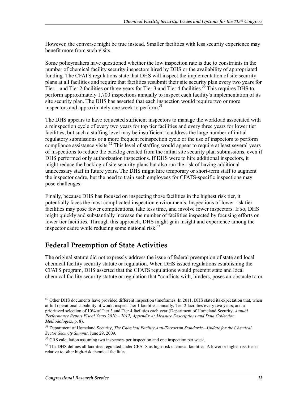However, the converse might be true instead. Smaller facilities with less security experience may benefit more from such visits.

Some policymakers have questioned whether the low inspection rate is due to constraints in the number of chemical facility security inspectors hired by DHS or the availability of appropriated funding. The CFATS regulations state that DHS will inspect the implementation of site security plans at all facilities and require that facilities resubmit their site security plan every two years for Tier 1 and Tier 2 facilities or three years for Tier 3 and Tier 4 facilities.<sup>50</sup> This requires DHS to perform approximately 1,700 inspections annually to inspect each facility's implementation of its site security plan. The DHS has asserted that each inspection would require two or more inspectors and approximately one week to perform.<sup>51</sup>

The DHS appears to have requested sufficient inspectors to manage the workload associated with a reinspection cycle of every two years for top tier facilities and every three years for lower tier facilities, but such a staffing level may be insufficient to address the large number of initial regulatory submissions or a more frequent reinspection cycle or the use of inspectors to perform compliance assistance visits.<sup>52</sup> This level of staffing would appear to require at least several years of inspections to reduce the backlog created from the initial site security plan submissions, even if DHS performed only authorization inspections. If DHS were to hire additional inspectors, it might reduce the backlog of site security plans but also run the risk of having additional unnecessary staff in future years. The DHS might hire temporary or short-term staff to augment the inspector cadre, but the need to train such employees for CFATS-specific inspections may pose challenges.

Finally, because DHS has focused on inspecting those facilities in the highest risk tier, it potentially faces the most complicated inspection environments. Inspections of lower risk tier facilities may pose fewer complications, take less time, and involve fewer inspectors. If so, DHS might quickly and substantially increase the number of facilities inspected by focusing efforts on lower tier facilities. Through this approach, DHS might gain insight and experience among the inspector cadre while reducing some national risk. $53$ 

## **Federal Preemption of State Activities**

The original statute did not expressly address the issue of federal preemption of state and local chemical facility security statute or regulation. When DHS issued regulations establishing the CFATS program, DHS asserted that the CFATS regulations would preempt state and local chemical facility security statute or regulation that "conflicts with, hinders, poses an obstacle to or

 $50$  Other DHS documents have provided different inspection timeframes. In 2011, DHS stated its expectation that, when at full operational capability, it would inspect Tier 1 facilities annually, Tier 2 facilities every two years, and a prioritized selection of 10% of Tier 3 and Tier 4 facilities each year (Department of Homeland Security, *Annual Performance Report Fiscal Years 2010 – 2012; Appendix A: Measure Descriptions and Data Collection Methodologies*, p. 8).

<sup>51</sup> Department of Homeland Security, *The Chemical Facility Anti-Terrorism Standards—Update for the Chemical Sector Security Summit*, June 29, 2009.

<sup>&</sup>lt;sup>52</sup> CRS calculation assuming two inspectors per inspection and one inspection per week.

 $<sup>53</sup>$  The DHS defines all facilities regulated under CFATS as high-risk chemical facilities. A lower or higher risk tier is</sup> relative to other high-risk chemical facilities.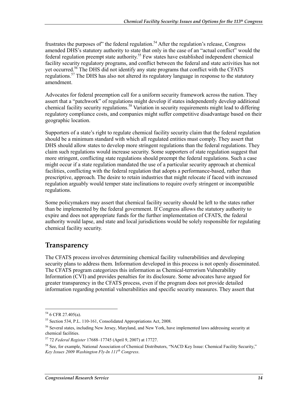frustrates the purposes of" the federal regulation.<sup>54</sup> After the regulation's release, Congress amended DHS's statutory authority to state that only in the case of an "actual conflict" would the federal regulation preempt state authority.<sup>55</sup> Few states have established independent chemical facility security regulatory programs, and conflict between the federal and state activities has not yet occurred.<sup>56</sup> The DHS did not identify any state programs that conflict with the CFATS regulations.<sup>57</sup> The DHS has also not altered its regulatory language in response to the statutory amendment.

Advocates for federal preemption call for a uniform security framework across the nation. They assert that a "patchwork" of regulations might develop if states independently develop additional chemical facility security regulations.<sup>58</sup> Variation in security requirements might lead to differing regulatory compliance costs, and companies might suffer competitive disadvantage based on their geographic location.

Supporters of a state's right to regulate chemical facility security claim that the federal regulation should be a minimum standard with which all regulated entities must comply. They assert that DHS should allow states to develop more stringent regulations than the federal regulations. They claim such regulations would increase security. Some supporters of state regulation suggest that more stringent, conflicting state regulations should preempt the federal regulations. Such a case might occur if a state regulation mandated the use of a particular security approach at chemical facilities, conflicting with the federal regulation that adopts a performance-based, rather than prescriptive, approach. The desire to retain industries that might relocate if faced with increased regulation arguably would temper state inclinations to require overly stringent or incompatible regulations.

Some policymakers may assert that chemical facility security should be left to the states rather than be implemented by the federal government. If Congress allows the statutory authority to expire and does not appropriate funds for the further implementation of CFATS, the federal authority would lapse, and state and local jurisdictions would be solely responsible for regulating chemical facility security.

#### **Transparency**

The CFATS process involves determining chemical facility vulnerabilities and developing security plans to address them. Information developed in this process is not openly disseminated. The CFATS program categorizes this information as Chemical-terrorism Vulnerability Information (CVI) and provides penalties for its disclosure. Some advocates have argued for greater transparency in the CFATS process, even if the program does not provide detailed information regarding potential vulnerabilities and specific security measures. They assert that

 $54$  6 CFR 27.405(a).

<sup>55</sup> Section 534, P.L. 110-161, Consolidated Appropriations Act, 2008.

<sup>56</sup> Several states, including New Jersey, Maryland, and New York, have implemented laws addressing security at chemical facilities.

<sup>57 72</sup> *Federal Register* 17688–17745 (April 9, 2007) at 17727.

<sup>&</sup>lt;sup>58</sup> See, for example, National Association of Chemical Distributors, "NACD Key Issue: Chemical Facility Security," *Key Issues 2009 Washington Fly-In 111th Congress*.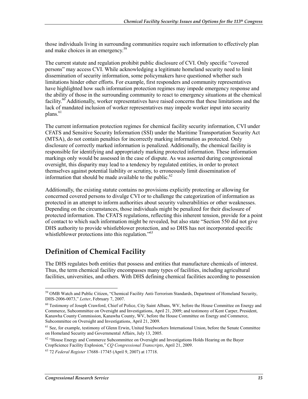those individuals living in surrounding communities require such information to effectively plan and make choices in an emergency.<sup>59</sup>

The current statute and regulation prohibit public disclosure of CVI. Only specific "covered persons" may access CVI. While acknowledging a legitimate homeland security need to limit dissemination of security information, some policymakers have questioned whether such limitations hinder other efforts. For example, first responders and community representatives have highlighted how such information protection regimes may impede emergency response and the ability of those in the surrounding community to react to emergency situations at the chemical facility.<sup>60</sup> Additionally, worker representatives have raised concerns that these limitations and the lack of mandated inclusion of worker representatives may impede worker input into security  $plane<sup>61</sup>$ 

The current information protection regimes for chemical facility security information, CVI under CFATS and Sensitive Security Information (SSI) under the Maritime Transportation Security Act (MTSA), do not contain penalties for incorrectly marking information as protected. Only disclosure of correctly marked information is penalized. Additionally, the chemical facility is responsible for identifying and appropriately marking protected information. These information markings only would be assessed in the case of dispute. As was asserted during congressional oversight, this disparity may lead to a tendency by regulated entities, in order to protect themselves against potential liability or scrutiny, to erroneously limit dissemination of information that should be made available to the public. $62$ 

Additionally, the existing statute contains no provisions explicitly protecting or allowing for concerned covered persons to divulge CVI or to challenge the categorization of information as protected in an attempt to inform authorities about security vulnerabilities or other weaknesses. Depending on the circumstances, those individuals might be penalized for their disclosure of protected information. The CFATS regulations, reflecting this inherent tension, provide for a point of contact to which such information might be revealed, but also state "Section 550 did not give DHS authority to provide whistleblower protection, and so DHS has not incorporated specific whistleblower protections into this regulation.<sup>563</sup>

## **Definition of Chemical Facility**

The DHS regulates both entities that possess and entities that manufacture chemicals of interest. Thus, the term chemical facility encompasses many types of facilities, including agricultural facilities, universities, and others. With DHS defining chemical facilities according to possession

<sup>&</sup>lt;u>.</u> <sup>59</sup> OMB Watch and Public Citizen, "Chemical Facility Anti-Terrorism Standards, Department of Homeland Security, DHS-2006-0073," *Letter*, February 7, 2007.

 $60$  Testimony of Joseph Crawford, Chief of Police, City Saint Albans, WV, before the House Committee on Energy and Commerce, Subcommittee on Oversight and Investigations, April 21, 2009; and testimony of Kent Carper, President, Kanawha County Commission, Kanawha County, WV, before the House Committee on Energy and Commerce, Subcommittee on Oversight and Investigations, April 21, 2009.

<sup>&</sup>lt;sup>61</sup> See, for example, testimony of Glenn Erwin, United Steelworkers International Union, before the Senate Committee on Homeland Security and Governmental Affairs, July 13, 2005.

<sup>&</sup>lt;sup>62</sup> "House Energy and Commerce Subcommittee on Oversight and Investigations Holds Hearing on the Bayer CropScience Facility Explosion," *CQ Congressional Transcripts*, April 21, 2009.

<sup>63 72</sup> *Federal Register* 17688–17745 (April 9, 2007) at 17718.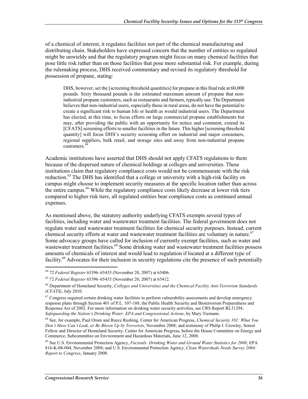of a chemical of interest, it regulates facilities not part of the chemical manufacturing and distributing chain. Stakeholders have expressed concern that the number of entities so regulated might be unwieldy and that the regulatory program might focus on many chemical facilities that pose little risk rather than on those facilities that pose more substantial risk. For example, during the rulemaking process, DHS received commentary and revised its regulatory threshold for possession of propane, stating:

DHS, however, set the [screening threshold quantities] for propane in this final rule at 60,000 pounds. Sixty thousand pounds is the estimated maximum amount of propane that nonindustrial propane customers, such as restaurants and farmers, typically use. The Department believes that non-industrial users, especially those in rural areas, do not have the potential to create a significant risk to human life or health as would industrial users. The Department has elected, at this time, to focus efforts on large commercial propane establishments but may, after providing the public with an opportunity for notice and comment, extend its [CFATS] screening efforts to smaller facilities in the future. This higher [screening threshold quantity] will focus DHS's security screening effort on industrial and major consumers, regional suppliers, bulk retail, and storage sites and away from non-industrial propane customers.<sup>64</sup>

Academic institutions have asserted that DHS should not apply CFATS regulations to them because of the dispersed nature of chemical holdings at colleges and universities. These institutions claim that regulatory compliance costs would not be commensurate with the risk reduction.<sup>65</sup> The DHS has identified that a college or university with a high-risk facility on campus might choose to implement security measures at the specific location rather than across the entire campus.<sup>66</sup> While the regulatory compliance costs likely decrease at lower risk tiers compared to higher risk tiers, all regulated entities bear compliance costs as continued annual expenses.

As mentioned above, the statutory authority underlying CFATS exempts several types of facilities, including water and wastewater treatment facilities. The federal government does not regulate water and wastewater treatment facilities for chemical security purposes. Instead, current chemical security efforts at water and wastewater treatment facilities are voluntary in nature.<sup>67</sup> Some advocacy groups have called for inclusion of currently exempt facilities, such as water and wastewater treatment facilities.<sup>68</sup> Some drinking water and wastewater treatment facilities possess amounts of chemicals of interest and would lead to regulation if located at a different type of facility.69 Advocates for their inclusion in security regulations cite the presence of such potentially

<sup>1</sup> 64 72 *Federal Register* 65396–65435 (November 20, 2007) at 65406.

<sup>65 72</sup> *Federal Register* 65396–65435 (November 20, 2007) at 65412.

<sup>66</sup> Department of Homeland Security, *Colleges and Universities and the Chemical Facility Anti-Terrorism Standards (CFATS)*, July 2010.

<sup>&</sup>lt;sup>67</sup> Congress required certain drinking water facilities to perform vulnerability assessments and develop emergency response plans through Section 401 of P.L. 107-188, the Public Health Security and Bioterrorism Preparedness and Response Act of 2002. For more information on drinking water security activities, see CRS Report RL31294, *Safeguarding the Nation's Drinking Water: EPA and Congressional Actions*, by Mary Tiemann.

<sup>68</sup> See, for example, Paul Orum and Reece Rushing, Center for American Progress, *Chemical Security 101: What You Don't Have Can't Leak, or Be Blown Up by Terrorists*, November 2008; and testimony of Philip J. Crowley, Senior Fellow and Director of Homeland Security, Center for American Progress, before the House Committee on Energy and Commerce, Subcommittee on Environment and Hazardous Materials, June 12, 2008.

<sup>69</sup> See U.S. Environmental Protection Agency, *Factoids: Drinking Water and Ground Water Statistics for 2008*, EPA 816-K-08-004, November 2008; and U.S. Environmental Protection Agency, *Clean Watersheds Needs Survey 2004: Report to Congress*, January 2008.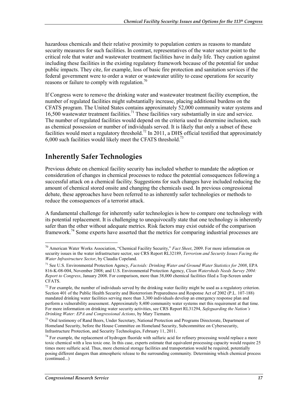hazardous chemicals and their relative proximity to population centers as reasons to mandate security measures for such facilities. In contrast, representatives of the water sector point to the critical role that water and wastewater treatment facilities have in daily life. They caution against including these facilities in the existing regulatory framework because of the potential for undue public impacts. They cite, for example, loss of basic fire protection and sanitation services if the federal government were to order a water or wastewater utility to cease operations for security reasons or failure to comply with regulation.<sup>70</sup>

If Congress were to remove the drinking water and wastewater treatment facility exemption, the number of regulated facilities might substantially increase, placing additional burdens on the CFATS program. The United States contains approximately 52,000 community water systems and 16,500 wastewater treatment facilities.71 These facilities vary substantially in size and service. The number of regulated facilities would depend on the criteria used to determine inclusion, such as chemical possession or number of individuals served. It is likely that only a subset of these facilities would meet a regulatory threshold.<sup>72</sup> In 2011, a DHS official testified that approximately 6,000 such facilities would likely meet the CFATS threshold.<sup>73</sup>

### **Inherently Safer Technologies**

Previous debate on chemical facility security has included whether to mandate the adoption or consideration of changes in chemical processes to reduce the potential consequences following a successful attack on a chemical facility. Suggestions for such changes have included reducing the amount of chemical stored onsite and changing the chemicals used. In previous congressional debate, these approaches have been referred to as inherently safer technologies or methods to reduce the consequences of a terrorist attack.

A fundamental challenge for inherently safer technologies is how to compare one technology with its potential replacement. It is challenging to unequivocally state that one technology is inherently safer than the other without adequate metrics. Risk factors may exist outside of the comparison framework.<sup>74</sup> Some experts have asserted that the metrics for comparing industrial processes are

<sup>70</sup> American Water Works Association, "Chemical Facility Security," *Fact Sheet*, 2009. For more information on security issues in the water infrastructure sector, see CRS Report RL32189, *Terrorism and Security Issues Facing the Water Infrastructure Sector*, by Claudia Copeland.

<sup>71</sup> See U.S. Environmental Protection Agency, *Factoids: Drinking Water and Ground Water Statistics for 2008*, EPA 816-K-08-004, November 2008; and U.S. Environmental Protection Agency, *Clean Watersheds Needs Survey 2004: Report to Congress*, January 2008. For comparison, more than 38,000 chemical facilities filed a Top-Screen under CFATS.

 $72$  For example, the number of individuals served by the drinking water facility might be used as a regulatory criterion. Section 401 of the Public Health Security and Bioterrorism Preparedness and Response Act of 2002 (P.L. 107-188) mandated drinking water facilities serving more than 3,300 individuals develop an emergency response plan and perform a vulnerability assessment. Approximately 8,400 community water systems met this requirement at that time. For more information on drinking water security activities, see CRS Report RL31294, *Safeguarding the Nation's Drinking Water: EPA and Congressional Actions*, by Mary Tiemann.

<sup>&</sup>lt;sup>73</sup> Oral testimony of Rand Beers, Under Secretary, National Protection and Programs Directorate, Department of Homeland Security, before the House Committee on Homeland Security, Subcommittee on Cybersecurity, Infrastructure Protection, and Security Technologies, February 11, 2011.

 $74$  For example, the replacement of hydrogen fluoride with sulfuric acid for refinery processing would replace a more toxic chemical with a less toxic one. In this case, experts estimate that equivalent processing capacity would require 25 times more sulfuric acid. Thus, more chemical storage facilities and transportation would be required, potentially posing different dangers than atmospheric release to the surrounding community. Determining which chemical process (continued...)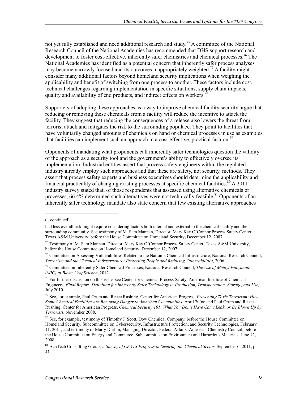not yet fully established and need additional research and study.<sup>75</sup> A committee of the National Research Council of the National Academies has recommended that DHS support research and development to foster cost-effective, inherently safer chemistries and chemical processes.<sup>76</sup> The National Academies has identified as a potential concern that inherently safer process analyses may become narrowly focused and its outcomes inappropriately weighted.<sup>77</sup> A facility might consider many additional factors beyond homeland security implications when weighing the applicability and benefit of switching from one process to another. These factors include cost, technical challenges regarding implementation in specific situations, supply chain impacts, quality and availability of end products, and indirect effects on workers.

Supporters of adopting these approaches as a way to improve chemical facility security argue that reducing or removing these chemicals from a facility will reduce the incentive to attack the facility. They suggest that reducing the consequences of a release also lowers the threat from terrorist attack and mitigates the risk to the surrounding populace. They point to facilities that have voluntarily changed amounts of chemicals on hand or chemical processes in use as examples that facilities can implement such an approach in a cost-effective, practical fashion.<sup>79</sup>

Opponents of mandating what proponents call inherently safer technologies question the validity of the approach as a security tool and the government's ability to effectively oversee its implementation. Industrial entities assert that process safety engineers within the regulated industry already employ such approaches and that these are safety, not security, methods. They assert that process safety experts and business executives should determine the applicability and financial practicality of changing existing processes at specific chemical facilities.<sup>80</sup> A 2011 industry survey stated that, of those respondents that assessed using alternative chemicals or processes,  $66.4\%$  determined such alternatives were not technically feasible.<sup>81</sup> Opponents of an inherently safer technology mandate also state concern that few existing alternative approaches

<sup>(...</sup>continued)

had less overall risk might require considering factors both internal and external to the chemical facility and the surrounding community. See testimony of M. Sam Mannan, Director, Mary Kay O'Connor Process Safety Center, Texas A&M University, before the House Committee on Homeland Security, December 12, 2007.

<sup>75</sup> Testimony of M. Sam Mannan, Director, Mary Kay O'Connor Process Safety Center, Texas A&M University, before the House Committee on Homeland Security, December 12, 2007.

<sup>&</sup>lt;sup>76</sup> Committee on Assessing Vulnerabilities Related to the Nation's Chemical Infrastructure, National Research Council, *Terrorism and the Chemical Infrastructure: Protecting People and Reducing Vulnerabilities*, 2006.

<sup>77</sup> Committee on Inherently Safer Chemical Processes, National Research Council, *The Use of Methyl Isocyanate (MIC) at Bayer CropScience*, 2012.

<sup>&</sup>lt;sup>78</sup> For further discussion on this issue, see Center for Chemical Process Safety, American Institute of Chemical Engineers, *Final Report: Definition for Inherently Safer Technology in Production, Transportation, Storage, and Use,*  July 2010.

<sup>79</sup> See, for example, Paul Orum and Reece Rushing, Center for American Progress, *Preventing Toxic Terrorism: How Some Chemical Facilities Are Removing Danger to American Communities*, April 2006; and Paul Orum and Reece Rushing, Center for American Progress, *Chemical Security 101: What You Don't Have Can't Leak, or Be Blown Up by Terrorists*, November 2008.

<sup>&</sup>lt;sup>80</sup> See. for example, testimony of Timothy J. Scott, Dow Chemical Company, before the House Committee on Homeland Security, Subcommittee on Cybersecurity, Infrastructure Protection, and Security Technologies, February 11, 2011; and testimony of Marty Durbin, Managing Director, Federal Affairs, American Chemistry Council, before the House Committee on Energy and Commerce, Subcommittee on Environment and Hazardous Materials, June 12, 2008.

<sup>81</sup> AcuTech Consulting Group, *A Survey of CFATS Progress in Securing the Chemical Sector*, September 6, 2011, p. 41.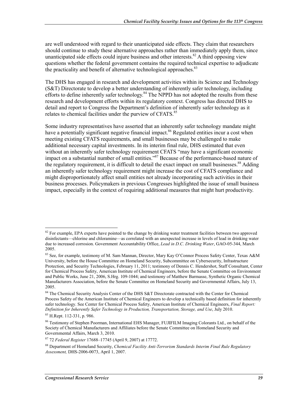are well understood with regard to their unanticipated side effects. They claim that researchers should continue to study these alternative approaches rather than immediately apply them, since unanticipated side effects could injure business and other interests.<sup>82</sup> A third opposing view questions whether the federal government contains the required technical expertise to adjudicate the practicality and benefit of alternative technological approaches.<sup>83</sup>

The DHS has engaged in research and development activities within its Science and Technology (S&T) Directorate to develop a better understanding of inherently safer technology, including efforts to define inherently safer technology. $84$  The NPPD has not adopted the results from these research and development efforts within its regulatory context. Congress has directed DHS to detail and report to Congress the Department's definition of inherently safer technology as it relates to chemical facilities under the purview of CFATS.<sup>85</sup>

Some industry representatives have asserted that an inherently safer technology mandate might have a potentially significant negative financial impact.<sup>86</sup> Regulated entities incur a cost when meeting existing CFATS requirements, and small businesses may be challenged to make additional necessary capital investments. In its interim final rule, DHS estimated that even without an inherently safer technology requirement CFATS "may have a significant economic impact on a substantial number of small entities."87 Because of the performance-based nature of the regulatory requirement, it is difficult to detail the exact impact on small businesses.<sup>88</sup> Adding an inherently safer technology requirement might increase the cost of CFATS compliance and might disproportionately affect small entities not already incorporating such activities in their business processes. Policymakers in previous Congresses highlighted the issue of small business impact, especially in the context of requiring additional measures that might hurt productivity.

 $82$  For example, EPA experts have pointed to the change by drinking water treatment facilities between two approved disinfectants—chlorine and chloramine—as correlated with an unexpected increase in levels of lead in drinking water due to increased corrosion. Government Accountability Office, *Lead in D.C. Drinking Water*, GAO-05-344, March 2005.

<sup>83</sup> See, for example, testimony of M. Sam Mannan, Director, Mary Kay O'Connor Process Safety Center, Texas A&M University, before the House Committee on Homeland Security, Subcommittee on Cybersecurity, Infrastructure Protection, and Security Technologies, February 11, 2011; testimony of Dennis C. Hendershot, Staff Consultant, Center for Chemical Process Safety, American Institute of Chemical Engineers, before the Senate Committee on Environment and Public Works, June 21, 2006, S.Hrg. 109-1044; and testimony of Matthew Barmasse, Synthetic Organic Chemical Manufacturers Association, before the Senate Committee on Homeland Security and Governmental Affairs, July 13, 2005.

<sup>&</sup>lt;sup>84</sup> The Chemical Security Analysis Center of the DHS S&T Directorate contracted with the Center for Chemical Process Safety of the American Institute of Chemical Engineers to develop a technically based definition for inherently safer technology. See Center for Chemical Process Safety, American Institute of Chemical Engineers, *Final Report: Definition for Inherently Safer Technology in Production, Transportation, Storage, and Use*, July 2010.

<sup>85</sup> H.Rept. 112-331, p. 986.

<sup>86</sup> Testimony of Stephen Poorman, International EHS Manager, FUJIFILM Imaging Colorants Ltd., on behalf of the Society of Chemical Manufacturers and Affiliates before the Senate Committee on Homeland Security and Governmental Affairs, March 3, 2010.

<sup>87 72</sup> *Federal Register* 17688–17745 (April 9, 2007) at 17772.

<sup>88</sup> Department of Homeland Security, *Chemical Facility Anti-Terrorism Standards Interim Final Rule Regulatory Assessment,* DHS-2006-0073, April 1, 2007.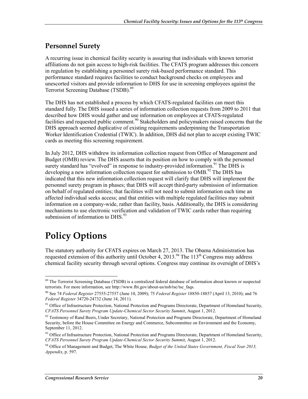#### **Personnel Surety**

A recurring issue in chemical facility security is assuring that individuals with known terrorist affiliations do not gain access to high-risk facilities. The CFATS program addresses this concern in regulation by establishing a personnel surety risk-based performance standard. This performance standard requires facilities to conduct background checks on employees and unescorted visitors and provide information to DHS for use in screening employees against the Terrorist Screening Database (TSDB).<sup>89</sup>

The DHS has not established a process by which CFATS-regulated facilities can meet this standard fully. The DHS issued a series of information collection requests from 2009 to 2011 that described how DHS would gather and use information on employees at CFATS-regulated facilities and requested public comment.<sup>90</sup> Stakeholders and policymakers raised concerns that the DHS approach seemed duplicative of existing requirements underpinning the Transportation Worker Identification Credential (TWIC). In addition, DHS did not plan to accept existing TWIC cards as meeting this screening requirement.

In July 2012, DHS withdrew its information collection request from Office of Management and Budget (OMB) review. The DHS asserts that its position on how to comply with the personnel surety standard has "evolved" in response to industry-provided information.<sup>91</sup> The DHS is developing a new information collection request for submission to  $OMB<sup>92</sup>$ . The DHS has indicated that this new information collection request will clarify that DHS will implement the personnel surety program in phases; that DHS will accept third-party submission of information on behalf of regulated entities; that facilities will not need to submit information each time an affected individual seeks access; and that entities with multiple regulated facilities may submit information on a company-wide, rather than facility, basis. Additionally, the DHS is considering mechanisms to use electronic verification and validation of TWIC cards rather than requiring submission of information to  $DHS<sup>93</sup>$ 

# **Policy Options**

<u>.</u>

The statutory authority for CFATS expires on March 27, 2013. The Obama Administration has requested extension of this authority until October 4, 2013.<sup>94</sup> The 113<sup>th</sup> Congress may address chemical facility security through several options. Congress may continue its oversight of DHS's

<sup>&</sup>lt;sup>89</sup> The Terrorist Screening Database (TSDB) is a centralized federal database of information about known or suspected terrorists. For more information, see http://www.fbi.gov/about-us/nsb/tsc/tsc\_faqs.

<sup>90</sup> See 74 *Federal Register* 27555-27557 (June 10, 2009); 75 *Federal Register* 18850-18857 (April 13, 2010); and 76 *Federal Register* 34720-24732 (June 14, 2011).

<sup>&</sup>lt;sup>91</sup> Office of Infrastructure Protection, National Protection and Programs Directorate, Department of Homeland Security, *CFATS Personnel Surety Program Update-Chemical Sector Security Summit*, August 1, 2012.

 $92$  Testimony of Rand Beers, Under Secretary, National Protection and Programs Directorate, Department of Homeland Security, before the House Committee on Energy and Commerce, Subcommittee on Environment and the Economy, September 11, 2012.

<sup>&</sup>lt;sup>93</sup> Office of Infrastructure Protection, National Protection and Programs Directorate, Department of Homeland Security, *CFATS Personnel Surety Program Update-Chemical Sector Security Summit*, August 1, 2012.

<sup>94</sup> Office of Management and Budget, The White House, *Budget of the United States Government, Fiscal Year 2013, Appendix*, p. 597.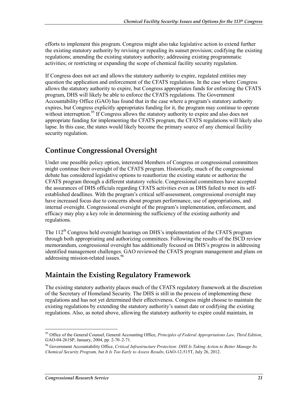efforts to implement this program. Congress might also take legislative action to extend further the existing statutory authority by revising or repealing its sunset provision; codifying the existing regulations; amending the existing statutory authority; addressing existing programmatic activities; or restricting or expanding the scope of chemical facility security regulation.

If Congress does not act and allows the statutory authority to expire, regulated entities may question the application and enforcement of the CFATS regulations. In the case where Congress allows the statutory authority to expire, but Congress appropriates funds for enforcing the CFATS program, DHS will likely be able to enforce the CFATS regulations. The Government Accountability Office (GAO) has found that in the case where a program's statutory authority expires, but Congress explicitly appropriates funding for it, the program may continue to operate without interruption.<sup>95</sup> If Congress allows the statutory authority to expire and also does not appropriate funding for implementing the CFATS program, the CFATS regulations will likely also lapse. In this case, the states would likely become the primary source of any chemical facility security regulation.

## **Continue Congressional Oversight**

Under one possible policy option, interested Members of Congress or congressional committees might continue their oversight of the CFATS program. Historically, much of the congressional debate has considered legislative options to reauthorize the existing statute or authorize the CFATS program through a different statutory vehicle. Congressional committees have accepted the assurances of DHS officials regarding CFATS activities even as DHS failed to meet its selfestablished deadlines. With the program's critical self-assessment, congressional oversight may have increased focus due to concerns about program performance, use of appropriations, and internal oversight. Congressional oversight of the program's implementation, enforcement, and efficacy may play a key role in determining the sufficiency of the existing authority and regulations.

The 112<sup>th</sup> Congress held oversight hearings on DHS's implementation of the CFATS program through both appropriating and authorizing committees. Following the results of the ISCD review memorandum, congressional oversight has additionally focused on DHS's progress in addressing identified management challenges. GAO reviewed the CFATS program management and plans on addressing mission-related issues.<sup>96</sup>

## **Maintain the Existing Regulatory Framework**

The existing statutory authority places much of the CFATS regulatory framework at the discretion of the Secretary of Homeland Security. The DHS is still in the process of implementing these regulations and has not yet determined their effectiveness. Congress might choose to maintain the existing regulations by extending the statutory authority's sunset date or codifying the existing regulations. Also, as noted above, allowing the statutory authority to expire could maintain, in

<sup>1</sup> 95 Office of the General Counsel, General Accounting Office, *Principles of Federal Appropriations Law, Third Edition*, GAO-04-261SP, January, 2004, pp. 2-70–2-71.

<sup>96</sup> Government Accountability Office, *Critical Infrastructure Protection: DHS Is Taking Action to Better Manage Its Chemical Security Program, but It Is Too Early to Assess Results,* GAO-12-515T, July 26, 2012.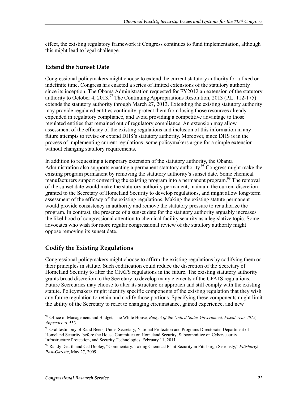effect, the existing regulatory framework if Congress continues to fund implementation, although this might lead to legal challenge.

#### **Extend the Sunset Date**

Congressional policymakers might choose to extend the current statutory authority for a fixed or indefinite time. Congress has enacted a series of limited extensions of the statutory authority since its inception. The Obama Administration requested for FY2012 an extension of the statutory authority to October 4, 2013.<sup>97</sup> The Continuing Appropriations Resolution, 2013 (P.L. 112-175) extends the statutory authority through March 27, 2013. Extending the existing statutory authority may provide regulated entities continuity, protect them from losing those resources already expended in regulatory compliance, and avoid providing a competitive advantage to those regulated entities that remained out of regulatory compliance. An extension may allow assessment of the efficacy of the existing regulations and inclusion of this information in any future attempts to revise or extend DHS's statutory authority. Moreover, since DHS is in the process of implementing current regulations, some policymakers argue for a simple extension without changing statutory requirements.

In addition to requesting a temporary extension of the statutory authority, the Obama Administration also supports enacting a permanent statutory authority.<sup>98</sup> Congress might make the existing program permanent by removing the statutory authority's sunset date. Some chemical manufacturers support converting the existing program into a permanent program.<sup>99</sup> The removal of the sunset date would make the statutory authority permanent, maintain the current discretion granted to the Secretary of Homeland Security to develop regulations, and might allow long-term assessment of the efficacy of the existing regulations. Making the existing statute permanent would provide consistency in authority and remove the statutory pressure to reauthorize the program. In contrast, the presence of a sunset date for the statutory authority arguably increases the likelihood of congressional attention to chemical facility security as a legislative topic. Some advocates who wish for more regular congressional review of the statutory authority might oppose removing its sunset date.

#### **Codify the Existing Regulations**

Congressional policymakers might choose to affirm the existing regulations by codifying them or their principles in statute. Such codification could reduce the discretion of the Secretary of Homeland Security to alter the CFATS regulations in the future. The existing statutory authority grants broad discretion to the Secretary to develop many elements of the CFATS regulations. Future Secretaries may choose to alter its structure or approach and still comply with the existing statute. Policymakers might identify specific components of the existing regulation that they wish any future regulation to retain and codify those portions. Specifying these components might limit the ability of the Secretary to react to changing circumstance, gained experience, and new

<sup>1</sup> 97 Office of Management and Budget, The White House, *Budget of the United States Government, Fiscal Year 2012, Appendix*, p. 553.

<sup>98</sup> Oral testimony of Rand Beers, Under Secretary, National Protection and Programs Directorate, Department of Homeland Security, before the House Committee on Homeland Security, Subcommittee on Cybersecurity, Infrastructure Protection, and Security Technologies, February 11, 2011.

<sup>99</sup> Randy Dearth and Cal Dooley, "Commentary: Taking Chemical Plant Security in Pittsburgh Seriously," *Pittsburgh Post-Gazette*, May 27, 2009.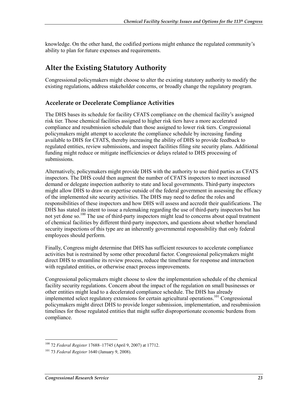knowledge. On the other hand, the codified portions might enhance the regulated community's ability to plan for future expenses and requirements.

### **Alter the Existing Statutory Authority**

Congressional policymakers might choose to alter the existing statutory authority to modify the existing regulations, address stakeholder concerns, or broadly change the regulatory program.

#### **Accelerate or Decelerate Compliance Activities**

The DHS bases its schedule for facility CFATS compliance on the chemical facility's assigned risk tier. Those chemical facilities assigned to higher risk tiers have a more accelerated compliance and resubmission schedule than those assigned to lower risk tiers. Congressional policymakers might attempt to accelerate the compliance schedule by increasing funding available to DHS for CFATS, thereby increasing the ability of DHS to provide feedback to regulated entities, review submissions, and inspect facilities filing site security plans. Additional funding might reduce or mitigate inefficiencies or delays related to DHS processing of submissions.

Alternatively, policymakers might provide DHS with the authority to use third parties as CFATS inspectors. The DHS could then augment the number of CFATS inspectors to meet increased demand or delegate inspection authority to state and local governments. Third-party inspectors might allow DHS to draw on expertise outside of the federal government in assessing the efficacy of the implemented site security activities. The DHS may need to define the roles and responsibilities of these inspectors and how DHS will assess and accredit their qualifications. The DHS has stated its intent to issue a rulemaking regarding the use of third-party inspectors but has not yet done so.<sup>100</sup> The use of third-party inspectors might lead to concerns about equal treatment of chemical facilities by different third-party inspectors, and questions about whether homeland security inspections of this type are an inherently governmental responsibility that only federal employees should perform.

Finally, Congress might determine that DHS has sufficient resources to accelerate compliance activities but is restrained by some other procedural factor. Congressional policymakers might direct DHS to streamline its review process, reduce the timeframe for response and interaction with regulated entities, or otherwise enact process improvements.

Congressional policymakers might choose to slow the implementation schedule of the chemical facility security regulations. Concern about the impact of the regulation on small businesses or other entities might lead to a decelerated compliance schedule. The DHS has already implemented select regulatory extensions for certain agricultural operations.<sup>101</sup> Congressional policymakers might direct DHS to provide longer submission, implementation, and resubmission timelines for those regulated entities that might suffer disproportionate economic burdens from compliance.

<sup>1</sup> 100 72 *Federal Register* 17688–17745 (April 9, 2007) at 17712.

<sup>101 73</sup> *Federal Register* 1640 (January 9, 2008).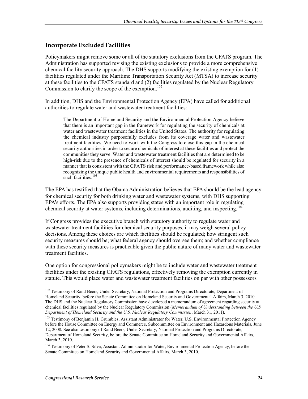#### **Incorporate Excluded Facilities**

Policymakers might remove some or all of the statutory exclusions from the CFATS program. The Administration has supported revising the existing exclusions to provide a more comprehensive chemical facility security approach. The DHS supports modifying the existing exemption for (1) facilities regulated under the Maritime Transportation Security Act (MTSA) to increase security at these facilities to the CFATS standard and (2) facilities regulated by the Nuclear Regulatory Commission to clarify the scope of the exemption. $102$ 

In addition, DHS and the Environmental Protection Agency (EPA) have called for additional authorities to regulate water and wastewater treatment facilities:

The Department of Homeland Security and the Environmental Protection Agency believe that there is an important gap in the framework for regulating the security of chemicals at water and wastewater treatment facilities in the United States. The authority for regulating the chemical industry purposefully excludes from its coverage water and wastewater treatment facilities. We need to work with the Congress to close this gap in the chemical security authorities in order to secure chemicals of interest at these facilities and protect the communities they serve. Water and wastewater treatment facilities that are determined to be high-risk due to the presence of chemicals of interest should be regulated for security in a manner that is consistent with the CFATS risk and performance-based framework while also recognizing the unique public health and environmental requirements and responsibilities of such facilities.<sup>103</sup>

The EPA has testified that the Obama Administration believes that EPA should be the lead agency for chemical security for both drinking water and wastewater systems, with DHS supporting EPA's efforts. The EPA also supports providing states with an important role in regulating chemical security at water systems, including determinations, auditing, and inspecting.<sup>104</sup>

If Congress provides the executive branch with statutory authority to regulate water and wastewater treatment facilities for chemical security purposes, it may weigh several policy decisions. Among these choices are which facilities should be regulated; how stringent such security measures should be; what federal agency should oversee them; and whether compliance with these security measures is practicable given the public nature of many water and wastewater treatment facilities.

One option for congressional policymakers might be to include water and wastewater treatment facilities under the existing CFATS regulations, effectively removing the exemption currently in statute. This would place water and wastewater treatment facilities on par with other possessors

<sup>&</sup>lt;sup>102</sup> Testimony of Rand Beers, Under Secretary, National Protection and Programs Directorate, Department of Homeland Security, before the Senate Committee on Homeland Security and Governmental Affairs, March 3, 2010. The DHS and the Nuclear Regulatory Commission have developed a memorandum of agreement regarding security at chemical facilities regulated by the Nuclear Regulatory Commission (*Memorandum of Understanding between the U.S. Department of Homeland Security and the U.S. Nuclear Regulatory Commission*, March 31, 2011).

<sup>&</sup>lt;sup>103</sup> Testimony of Benjamin H. Grumbles, Assistant Administrator for Water, U.S. Environmental Protection Agency before the House Committee on Energy and Commerce, Subcommittee on Environment and Hazardous Materials, June 12, 2008. See also testimony of Rand Beers, Under Secretary, National Protection and Programs Directorate, Department of Homeland Security, before the Senate Committee on Homeland Security and Governmental Affairs, March 3, 2010.

<sup>&</sup>lt;sup>104</sup> Testimony of Peter S. Silva, Assistant Administrator for Water, Environmental Protection Agency, before the Senate Committee on Homeland Security and Governmental Affairs, March 3, 2010.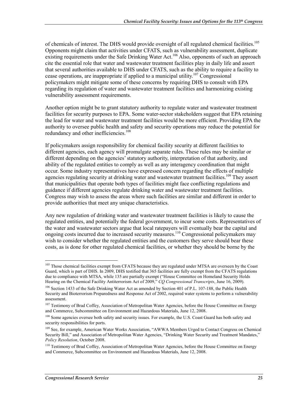of chemicals of interest. The DHS would provide oversight of all regulated chemical facilities.<sup>105</sup> Opponents might claim that activities under CFATS, such as vulnerability assessment, duplicate existing requirements under the Safe Drinking Water Act.<sup>106</sup> Also, opponents of such an approach cite the essential role that water and wastewater treatment facilities play in daily life and assert that several authorities available to DHS under CFATS, such as the ability to require a facility to cease operations, are inappropriate if applied to a municipal utility.<sup>107</sup> Congressional policymakers might mitigate some of these concerns by requiring DHS to consult with EPA regarding its regulation of water and wastewater treatment facilities and harmonizing existing vulnerability assessment requirements.

Another option might be to grant statutory authority to regulate water and wastewater treatment facilities for security purposes to EPA. Some water-sector stakeholders suggest that EPA retaining the lead for water and wastewater treatment facilities would be more efficient. Providing EPA the authority to oversee public health and safety and security operations may reduce the potential for redundancy and other inefficiencies.<sup>108</sup>

If policymakers assign responsibility for chemical facility security at different facilities to different agencies, each agency will promulgate separate rules. These rules may be similar or different depending on the agencies' statutory authority, interpretation of that authority, and ability of the regulated entities to comply as well as any interagency coordination that might occur. Some industry representatives have expressed concern regarding the effects of multiple agencies regulating security at drinking water and wastewater treatment facilities.<sup>109</sup> They assert that municipalities that operate both types of facilities might face conflicting regulations and guidance if different agencies regulate drinking water and wastewater treatment facilities. Congress may wish to assess the areas where such facilities are similar and different in order to provide authorities that meet any unique characteristics.

Any new regulation of drinking water and wastewater treatment facilities is likely to cause the regulated entities, and potentially the federal government, to incur some costs. Representatives of the water and wastewater sectors argue that local ratepayers will eventually bear the capital and ongoing costs incurred due to increased security measures.110 Congressional policymakers may wish to consider whether the regulated entities and the customers they serve should bear these costs, as is done for other regulated chemical facilities, or whether they should be borne by the

<u>.</u>

<sup>&</sup>lt;sup>105</sup> Those chemical facilities exempt from CFATS because they are regulated under MTSA are overseen by the Coast Guard, which is part of DHS. In 2009, DHS testified that 365 facilities are fully exempt from the CFATS regulations due to compliance with MTSA, while 135 are partially exempt ("House Committee on Homeland Security Holds Hearing on the Chemical Facility Antiterrorism Act of 2009," *CQ Congressional Transcripts*, June 16, 2009).

<sup>&</sup>lt;sup>106</sup> Section 1433 of the Safe Drinking Water Act as amended by Section 401 of P.L. 107-188, the Public Health Security and Bioterrorism Preparedness and Response Act of 2002, required water systems to perform a vulnerability assessment.

<sup>&</sup>lt;sup>107</sup> Testimony of Brad Coffey, Association of Metropolitan Water Agencies, before the House Committee on Energy and Commerce, Subcommittee on Environment and Hazardous Materials, June 12, 2008.

<sup>&</sup>lt;sup>108</sup> Some agencies oversee both safety and security issues. For example, the U.S. Coast Guard has both safety and security responsibilities for ports.

<sup>&</sup>lt;sup>109</sup> See, for example, American Water Works Association, "AWWA Members Urged to Contact Congress on Chemical Security Bill," and Association of Metropolitan Water Agencies, "Drinking Water Security and Treatment Mandates," *Policy Resolution*, October 2008.

<sup>&</sup>lt;sup>110</sup> Testimony of Brad Coffey, Association of Metropolitan Water Agencies, before the House Committee on Energy and Commerce, Subcommittee on Environment and Hazardous Materials, June 12, 2008.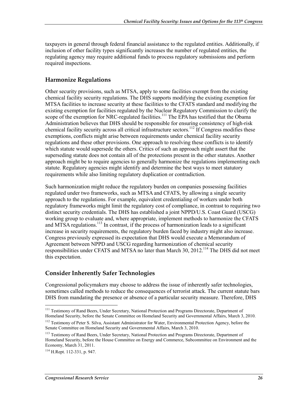taxpayers in general through federal financial assistance to the regulated entities. Additionally, if inclusion of other facility types significantly increases the number of regulated entities, the regulating agency may require additional funds to process regulatory submissions and perform required inspections.

#### **Harmonize Regulations**

Other security provisions, such as MTSA, apply to some facilities exempt from the existing chemical facility security regulations. The DHS supports modifying the existing exemption for MTSA facilities to increase security at these facilities to the CFATS standard and modifying the existing exemption for facilities regulated by the Nuclear Regulatory Commission to clarify the scope of the exemption for NRC-regulated facilities.<sup>111</sup> The EPA has testified that the Obama Administration believes that DHS should be responsible for ensuring consistency of high-risk chemical facility security across all critical infrastructure sectors.<sup>112</sup> If Congress modifies these exemptions, conflicts might arise between requirements under chemical facility security regulations and these other provisions. One approach to resolving these conflicts is to identify which statute would supersede the others. Critics of such an approach might assert that the superseding statute does not contain all of the protections present in the other statutes. Another approach might be to require agencies to generally harmonize the regulations implementing each statute. Regulatory agencies might identify and determine the best ways to meet statutory requirements while also limiting regulatory duplication or contradiction.

Such harmonization might reduce the regulatory burden on companies possessing facilities regulated under two frameworks, such as MTSA and CFATS, by allowing a single security approach to the regulations. For example, equivalent credentialing of workers under both regulatory frameworks might limit the regulatory cost of compliance, in contrast to requiring two distinct security credentials. The DHS has established a joint NPPD/U.S. Coast Guard (USCG) working group to evaluate and, where appropriate, implement methods to harmonize the CFATS and MTSA regulations.<sup>113</sup> In contrast, if the process of harmonization leads to a significant increase in security requirements, the regulatory burden faced by industry might also increase. Congress previously expressed its expectation that DHS would execute a Memorandum of Agreement between NPPD and USCG regarding harmonization of chemical security responsibilities under CFATS and MTSA no later than March 30, 2012.114 The DHS did not meet this expectation.

#### **Consider Inherently Safer Technologies**

Congressional policymakers may choose to address the issue of inherently safer technologies, sometimes called methods to reduce the consequences of terrorist attack. The current statute bars DHS from mandating the presence or absence of a particular security measure. Therefore, DHS

<sup>&</sup>lt;sup>111</sup> Testimony of Rand Beers, Under Secretary, National Protection and Programs Directorate, Department of Homeland Security, before the Senate Committee on Homeland Security and Governmental Affairs, March 3, 2010.

<sup>&</sup>lt;sup>112</sup> Testimony of Peter S. Silva, Assistant Administrator for Water, Environmental Protection Agency, before the Senate Committee on Homeland Security and Governmental Affairs, March 3, 2010.

<sup>&</sup>lt;sup>113</sup> Testimony of Rand Beers, Under Secretary, National Protection and Programs Directorate, Department of Homeland Security, before the House Committee on Energy and Commerce, Subcommittee on Environment and the Economy, March 31, 2011.

<sup>114</sup> H.Rept. 112-331, p. 947.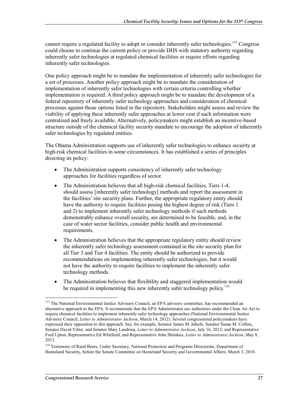cannot require a regulated facility to adopt or consider inherently safer technologies.<sup>115</sup> Congress could choose to continue the current policy or provide DHS with statutory authority regarding inherently safer technologies at regulated chemical facilities or require efforts regarding inherently safer technologies.

One policy approach might be to mandate the implementation of inherently safer technologies for a set of processes. Another policy approach might be to mandate the consideration of implementation of inherently safer technologies with certain criteria controlling whether implementation is required. A third policy approach might be to mandate the development of a federal repository of inherently safer technology approaches and consideration of chemical processes against those options listed in the repository. Stakeholders might assess and review the viability of applying these inherently safer approaches at lower cost if such information were centralized and freely available. Alternatively, policymakers might establish an incentive-based structure outside of the chemical facility security mandate to encourage the adoption of inherently safer technologies by regulated entities.

The Obama Administration supports use of inherently safer technologies to enhance security at high-risk chemical facilities in some circumstances. It has established a series of principles directing its policy:

- The Administration supports consistency of inherently safer technology approaches for facilities regardless of sector.
- The Administration believes that all high-risk chemical facilities, Tiers 1-4, should assess [inherently safer technology] methods and report the assessment in the facilities' site security plans. Further, the appropriate regulatory entity should have the authority to require facilities posing the highest degree of risk (Tiers 1 and 2) to implement inherently safer technology methods if such methods demonstrably enhance overall security, are determined to be feasible, and, in the case of water sector facilities, consider public health and environmental requirements.
- The Administration believes that the appropriate regulatory entity should review the inherently safer technology assessment contained in the site security plan for all Tier 3 and Tier 4 facilities. The entity should be authorized to provide recommendations on implementing inherently safer technologies, but it would not have the authority to require facilities to implement the inherently safer technology methods.
- The Administration believes that flexibility and staggered implementation would be required in implementing this new inherently safer technology policy.<sup>116</sup>

<sup>&</sup>lt;sup>115</sup> The National Environmental Justice Advisory Council, an EPA advisory committee, has recommended an alternative approach to the EPA. It recommends that the EPA Administrator use authorities under the Clean Air Act to require chemical facilities to implement inherently safer technology approaches (National Environmental Justice Advisory Council, *Letter to Administrator Jackson*, March 14, 2012). Several congressional policymakers have expressed their opposition to this approach. See, for example, Senator James M. Inhofe, Senator Susan M. Collins, Senator David Vitter, and Senator Mary Landrieu, *Letter to Administrator Jackson*, July 16, 2012; and Representative Fred Upton, Representative Ed Whitfield, and Representative John Shimkus, *Letter to Administrator Jackson*, May 8, 2012.

<sup>116</sup> Testimony of Rand Beers, Under Secretary, National Protection and Programs Directorate, Department of Homeland Security, before the Senate Committee on Homeland Security and Governmental Affairs, March 3, 2010.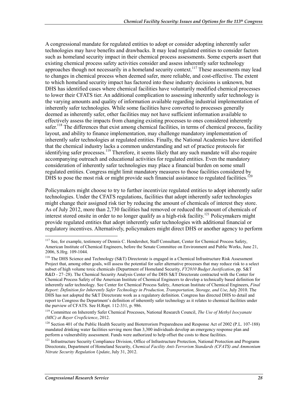A congressional mandate for regulated entities to adopt or consider adopting inherently safer technologies may have benefits and drawbacks. It may lead regulated entities to consider factors such as homeland security impact in their chemical process assessments. Some experts assert that existing chemical process safety activities consider and assess inherently safer technology approaches though not necessarily in a homeland security context.<sup>117</sup> These assessments may lead to changes in chemical process when deemed safer, more reliable, and cost-effective. The extent to which homeland security impact has factored into these industry decisions is unknown, but DHS has identified cases where chemical facilities have voluntarily modified chemical processes to lower their CFATS tier. An additional complication to assessing inherently safer technology is the varying amounts and quality of information available regarding industrial implementation of inherently safer technologies. While some facilities have converted to processes generally deemed as inherently safer, other facilities may not have sufficient information available to effectively assess the impacts from changing existing processes to ones considered inherently safer.<sup>118</sup> The differences that exist among chemical facilities, in terms of chemical process, facility layout, and ability to finance implementation, may challenge mandatory implementation of inherently safer technologies at regulated entities. Finally, the National Academies have identified that the chemical industry lacks a common understanding and set of practice protocols for identifying safer processes.<sup>119</sup> Therefore, it seems likely that any such mandate will also require accompanying outreach and educational activities for regulated entities. Even the mandatory consideration of inherently safer technologies may place a financial burden on some small regulated entities. Congress might limit mandatory measures to those facilities considered by DHS to pose the most risk or might provide such financial assistance to regulated facilities.<sup>120</sup>

Policymakers might choose to try to further incentivize regulated entities to adopt inherently safer technologies. Under the CFATS regulations, facilities that adopt inherently safer technologies might change their assigned risk tier by reducing the amount of chemicals of interest they store. As of July 2012, more than 2,730 facilities had removed or reduced the amount of chemicals of interest stored onsite in order to no longer qualify as a high-risk facility.<sup>121</sup> Policymakers might provide regulated entities that adopt inherently safer technologies with additional financial or regulatory incentives. Alternatively, policymakers might direct DHS or another agency to perform

<sup>&</sup>lt;u>.</u> <sup>117</sup> See, for example, testimony of Dennis C. Hendershot, Staff Consultant, Center for Chemical Process Safety, American Institute of Chemical Engineers, before the Senate Committee on Environment and Public Works, June 21, 2006, S.Hrg. 109-1044.

<sup>&</sup>lt;sup>118</sup> The DHS Science and Technology (S&T) Directorate is engaged in a Chemical Infrastructure Risk Assessment Project that, among other goals, will assess the potential for safer alternative processes that may reduce risk to a select subset of high volume toxic chemicals (Department of Homeland Security, *FY2010 Budget Justification*, pp. S&T R&D - 27–28). The Chemical Security Analysis Center of the DHS S&T Directorate contracted with the Center for Chemical Process Safety of the American Institute of Chemical Engineers to develop a technically based definition for inherently safer technology. See Center for Chemical Process Safety, American Institute of Chemical Engineers, *Final Report: Definition for Inherently Safer Technology in Production, Transportation, Storage, and Use*, July 2010. The DHS has not adopted the S&T Directorate work as a regulatory definition. Congress has directed DHS to detail and report to Congress the Department's definition of inherently safer technology as it relates to chemical facilities under the purview of CFATS. See H.Rept. 112-331, p. 986.

<sup>119</sup> Committee on Inherently Safer Chemical Processes, National Research Council, *The Use of Methyl Isocyanate (MIC) at Bayer CropScience*, 2012.

<sup>&</sup>lt;sup>120</sup> Section 401 of the Public Health Security and Bioterrorism Preparedness and Response Act of 2002 (P.L. 107-188) mandated drinking water facilities serving more than 3,300 individuals develop an emergency response plan and perform a vulnerability assessment. Funds were authorized to help offset the costs to these facilities.

<sup>&</sup>lt;sup>121</sup> Infrastructure Security Compliance Division, Office of Infrastructure Protection, National Protection and Programs Directorate, Department of Homeland Security, *Chemical Facility Anti-Terrorism Standards (CFATS) and Ammonium Nitrate Security Regulation Update*, July 31, 2012.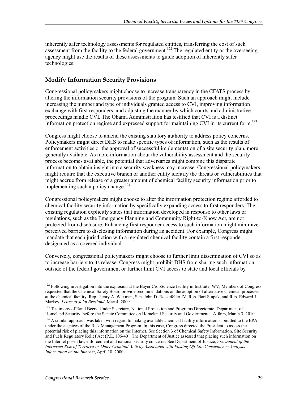inherently safer technology assessments for regulated entities, transferring the cost of such assessment from the facility to the federal government.<sup>122</sup> The regulated entity or the overseeing agency might use the results of these assessments to guide adoption of inherently safer technologies.

#### **Modify Information Security Provisions**

Congressional policymakers might choose to increase transparency in the CFATS process by altering the information security provisions of the program. Such an approach might include increasing the number and type of individuals granted access to CVI, improving information exchange with first responders, and adjusting the manner by which courts and administrative proceedings handle CVI. The Obama Administration has testified that CVI is a distinct information protection regime and expressed support for maintaining CVI in its current form.<sup>123</sup>

Congress might choose to amend the existing statutory authority to address policy concerns. Policymakers might direct DHS to make specific types of information, such as the results of enforcement activities or the approval of successful implementation of a site security plan, more generally available. As more information about the vulnerability assessment and the security process becomes available, the potential that adversaries might combine this disparate information to obtain insight into a security weakness may increase. Congressional policymakers might require that the executive branch or another entity identify the threats or vulnerabilities that might accrue from release of a greater amount of chemical facility security information prior to implementing such a policy change.<sup>124</sup>

Congressional policymakers might choose to alter the information protection regime afforded to chemical facility security information by specifically expanding access to first responders. The existing regulation explicitly states that information developed in response to other laws or regulations, such as the Emergency Planning and Community Right-to-Know Act, are not protected from disclosure. Enhancing first responder access to such information might minimize perceived barriers to disclosing information during an accident. For example, Congress might mandate that each jurisdiction with a regulated chemical facility contain a first responder designated as a covered individual.

Conversely, congressional policymakers might choose to further limit dissemination of CVI so as to increase barriers to its release. Congress might prohibit DHS from sharing such information outside of the federal government or further limit CVI access to state and local officials by

<u>.</u>

 $122$  Following investigation into the explosion at the Bayer CropScience facility in Institute, WV, Members of Congress requested that the Chemical Safety Board provide recommendations on the adoption of alternative chemical processes at the chemical facility. Rep. Henry A. Waxman, Sen. John D. Rockefeller IV, Rep. Bart Stupak, and Rep. Edward J. Markey, *Letter to John Bresland*, May 4, 2009.

<sup>&</sup>lt;sup>123</sup> Testimony of Rand Beers, Under Secretary, National Protection and Programs Directorate, Department of Homeland Security, before the Senate Committee on Homeland Security and Governmental Affairs, March 3, 2010.

 $124$  A similar approach was taken with regard to making available chemical facility information submitted to the EPA under the auspices of the Risk Management Program. In this case, Congress directed the President to assess the potential risk of placing this information on the Internet. See Section 3 of Chemical Safety Information, Site Security and Fuels Regulatory Relief Act (P.L. 106-40). The Department of Justice assessed that placing such information on the Internet posed law enforcement and national security concerns. See Department of Justice, *Assessment of the Increased Risk of Terrorist or Other Criminal Activity Associated with Posting Off-Site Consequence Analysis Information on the Internet*, April 18, 2000.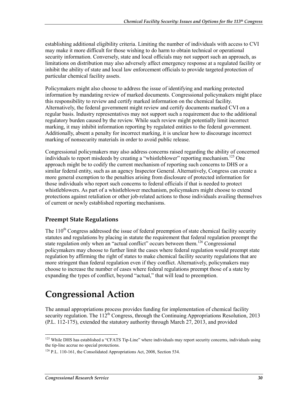establishing additional eligibility criteria. Limiting the number of individuals with access to CVI may make it more difficult for those wishing to do harm to obtain technical or operational security information. Conversely, state and local officials may not support such an approach, as limitations on distribution may also adversely affect emergency response at a regulated facility or inhibit the ability of state and local law enforcement officials to provide targeted protection of particular chemical facility assets.

Policymakers might also choose to address the issue of identifying and marking protected information by mandating review of marked documents. Congressional policymakers might place this responsibility to review and certify marked information on the chemical facility. Alternatively, the federal government might review and certify documents marked CVI on a regular basis. Industry representatives may not support such a requirement due to the additional regulatory burden caused by the review. While such review might potentially limit incorrect marking, it may inhibit information reporting by regulated entities to the federal government. Additionally, absent a penalty for incorrect marking, it is unclear how to discourage incorrect marking of nonsecurity materials in order to avoid public release.

Congressional policymakers may also address concerns raised regarding the ability of concerned individuals to report misdeeds by creating a "whistleblower" reporting mechanism.<sup>125</sup> One approach might be to codify the current mechanism of reporting such concerns to DHS or a similar federal entity, such as an agency Inspector General. Alternatively, Congress can create a more general exemption to the penalties arising from disclosure of protected information for those individuals who report such concerns to federal officials if that is needed to protect whistleblowers. As part of a whistleblower mechanism, policymakers might choose to extend protections against retaliation or other job-related actions to those individuals availing themselves of current or newly established reporting mechanisms.

#### **Preempt State Regulations**

The 110<sup>th</sup> Congress addressed the issue of federal preemption of state chemical facility security statutes and regulations by placing in statute the requirement that federal regulation preempt the state regulation only when an "actual conflict" occurs between them.<sup>126</sup> Congressional policymakers may choose to further limit the cases where federal regulation would preempt state regulation by affirming the right of states to make chemical facility security regulations that are more stringent than federal regulation even if they conflict. Alternatively, policymakers may choose to increase the number of cases where federal regulations preempt those of a state by expanding the types of conflict, beyond "actual," that will lead to preemption.

## **Congressional Action**

The annual appropriations process provides funding for implementation of chemical facility security regulation. The  $112^{th}$  Congress, through the Continuing Appropriations Resolution, 2013 (P.L. 112-175), extended the statutory authority through March 27, 2013, and provided

<sup>&</sup>lt;sup>125</sup> While DHS has established a "CFATS Tip-Line" where individuals may report security concerns, individuals using the tip-line accrue no special protections.

<sup>&</sup>lt;sup>126</sup> P.L. 110-161, the Consolidated Appropriations Act, 2008, Section 534.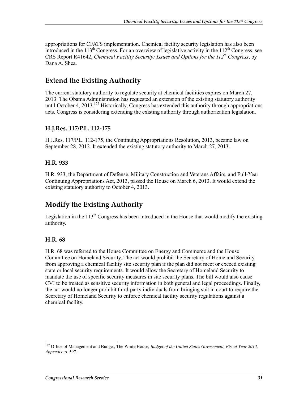appropriations for CFATS implementation. Chemical facility security legislation has also been introduced in the 113<sup>th</sup> Congress. For an overview of legislative activity in the 112<sup>th</sup> Congress, see CRS Report R41642, *Chemical Facility Security: Issues and Options for the 112th Congress*, by Dana A. Shea.

### **Extend the Existing Authority**

The current statutory authority to regulate security at chemical facilities expires on March 27, 2013. The Obama Administration has requested an extension of the existing statutory authority until October 4, 2013.<sup>127</sup> Historically, Congress has extended this authority through appropriations acts. Congress is considering extending the existing authority through authorization legislation.

#### **H.J.Res. 117/P.L. 112-175**

H.J.Res. 117/P.L. 112-175, the Continuing Appropriations Resolution, 2013, became law on September 28, 2012. It extended the existing statutory authority to March 27, 2013.

#### **H.R. 933**

H.R. 933, the Department of Defense, Military Construction and Veterans Affairs, and Full-Year Continuing Appropriations Act, 2013, passed the House on March 6, 2013. It would extend the existing statutory authority to October 4, 2013.

#### **Modify the Existing Authority**

Legislation in the  $113<sup>th</sup>$  Congress has been introduced in the House that would modify the existing authority.

#### **H.R. 68**

1

H.R. 68 was referred to the House Committee on Energy and Commerce and the House Committee on Homeland Security. The act would prohibit the Secretary of Homeland Security from approving a chemical facility site security plan if the plan did not meet or exceed existing state or local security requirements. It would allow the Secretary of Homeland Security to mandate the use of specific security measures in site security plans. The bill would also cause CVI to be treated as sensitive security information in both general and legal proceedings. Finally, the act would no longer prohibit third-party individuals from bringing suit in court to require the Secretary of Homeland Security to enforce chemical facility security regulations against a chemical facility.

<sup>&</sup>lt;sup>127</sup> Office of Management and Budget, The White House, *Budget of the United States Government, Fiscal Year 2013*, *Appendix*, p. 597.